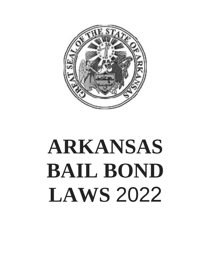

# **ARKANSAS BAIL BOND LAWS** 2022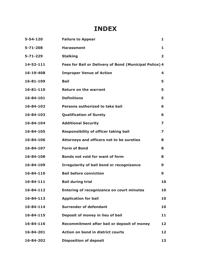# **INDEX**

| $5 - 54 - 120$ | <b>Failure to Appear</b>                               | 1              |
|----------------|--------------------------------------------------------|----------------|
| $5 - 71 - 208$ | <b>Harassment</b>                                      | 1              |
| $5 - 71 - 229$ | <b>Stalking</b>                                        | $\overline{2}$ |
| 14-52-111      | Fees for Bail or Delivery of Bond (Municipal Police) 4 |                |
| 16-19-408      | <b>Improper Venue of Action</b>                        | 4              |
| 16-81-109      | <b>Bail</b>                                            | 5              |
| 16-81-110      | <b>Return on the warrant</b>                           | 5              |
| 16-84-101      | <b>Definitions</b>                                     | 5              |
| 16-84-102      | Persons authorized to take bail                        | 6              |
| 16-84-103      | <b>Qualification of Surety</b>                         | 6              |
| 16-84-104      | <b>Additional Security</b>                             | 7              |
| 16-84-105      | <b>Responsibility of officer taking bail</b>           | 7              |
| 16-84-106      | Attorneys and officers not to be sureties              | 8              |
| 16-84-107      | <b>Form of Bond</b>                                    | 8              |
| 16-84-108      | Bonds not void for want of form                        | 8              |
| 16-84-109      | <b>Irregularity of bail bond or recognizance</b>       | 9              |
| 16-84-110      | <b>Bail before conviction</b>                          | 9              |
| 16-84-111      | <b>Bail during trial</b>                               | 10             |
| 16-84-112      | Entering of recognizance on court minutes              | 10             |
| 16-84-113      | <b>Application for bail</b>                            | 10             |
| 16-84-114      | <b>Surrender of defendant</b>                          | 10             |
| 16-84-115      | Deposit of money in lieu of bail                       | 11             |
| 16-84-116      | Recommitment after bail or deposit of money            | 12             |
| 16-84-201      | Action on bond in district courts                      | 12             |
| 16-84-202      | <b>Disposition of deposit</b>                          | 13             |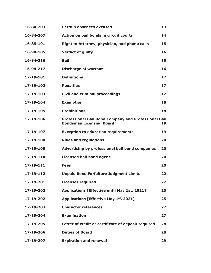| 16-84-203 | <b>Certain absences excused</b>                                                                | 13 |
|-----------|------------------------------------------------------------------------------------------------|----|
| 16-84-207 | <b>Action on bail bonds in circuit courts</b>                                                  | 14 |
| 16-85-101 | Right to Attorney, physician, and phone calls                                                  | 15 |
| 16-90-105 | <b>Verdict of guilty</b>                                                                       | 16 |
| 16-94-216 | <b>Bail</b>                                                                                    | 16 |
| 16-94-217 | <b>Discharge of warrant</b>                                                                    | 16 |
| 17-19-101 | <b>Definitions</b>                                                                             | 17 |
| 17-19-102 | <b>Penalties</b>                                                                               | 17 |
| 17-19-103 | <b>Civil and criminal proceedings</b>                                                          | 17 |
| 17-19-104 | <b>Exemption</b>                                                                               | 18 |
| 17-19-105 | <b>Prohibitions</b>                                                                            | 18 |
| 17-19-106 | <b>Professional Bail Bond Company and Professional Bail</b><br><b>Bondsman Licensing Board</b> | 19 |
| 17-19-107 | <b>Exception to education requirements</b>                                                     | 19 |
| 17-19-108 | <b>Rules and regulations</b>                                                                   | 20 |
| 17-19-109 | Advertising by professional bail bond companies                                                | 20 |
| 17-19-110 | <b>Licensed bail bond agent</b>                                                                | 20 |
| 17-19-111 | <b>Fees</b>                                                                                    | 20 |
| 17-19-112 | <b>Unpaid Bond Forfeiture Judgment Limits</b>                                                  | 22 |
| 17-19-201 | <b>Licenses required</b>                                                                       | 22 |
| 17-19-202 | Applications [Effective until May 1st, 2021]                                                   | 23 |
| 17-19-202 | Applications [Effective May 1st, 2021]                                                         | 25 |
| 17-19-203 | <b>Character references</b>                                                                    | 27 |
| 17-19-204 | <b>Examination</b>                                                                             | 27 |
| 17-19-205 | Letter of credit or certificate of deposit required                                            | 28 |
| 17-19-206 | <b>Duties of Board</b>                                                                         | 28 |
| 17-19-207 | <b>Expiration and renewal</b>                                                                  | 29 |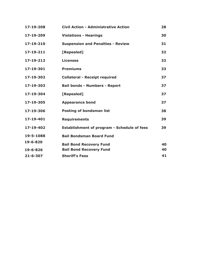| 17-19-208      | <b>Civil Action - Administrative Action</b>        | 28 |
|----------------|----------------------------------------------------|----|
| 17-19-209      | <b>Violations - Hearings</b>                       | 30 |
| 17-19-210      | <b>Suspension and Penalties - Review</b>           | 31 |
| 17-19-211      | [Repealed]                                         | 32 |
| 17-19-212      | <b>Licenses</b>                                    | 32 |
| 17-19-301      | <b>Premiums</b>                                    | 33 |
| 17-19-302      | <b>Collateral - Receipt required</b>               | 37 |
| 17-19-303      | <b>Bail bonds - Numbers - Report</b>               | 37 |
| 17-19-304      | [Repealed]                                         | 37 |
| 17-19-305      | <b>Appearance bond</b>                             | 37 |
| 17-19-306      | <b>Posting of bondsman list</b>                    | 38 |
| 17-19-401      | <b>Requirements</b>                                | 39 |
| 17-19-402      | <b>Establishment of program - Schedule of fees</b> | 39 |
| 19-5-1088      | <b>Bail Bondsman Board Fund</b>                    |    |
| 19-6-820       | <b>Bail Bond Recovery Fund</b>                     | 40 |
| 19-6-826       | <b>Bail Bond Recovery Fund</b>                     | 40 |
| $21 - 6 - 307$ | <b>Sheriff's Fees</b>                              | 41 |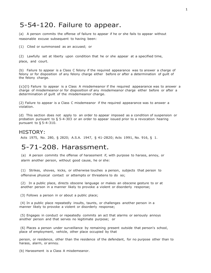### 5-54-120. Failure to appear.

(a) A person commits the offense of failure to appear if he or she fails to appear without reasonable excuse subsequent to having been:

(1) Cited or summonsed as an accused; or

(2) Lawfully set at liberty upon condition that he or she appear at a specified time, place, and court.

(b) Failure to appear is a Class C felony if the required appearance was to answer a charge of felony or for disposition of any felony charge either before or after a determination of guilt of the felony charge.

(c)(l) Failure to appear is a Class A misdemeanor if the required appearance was to answer a charge of misdemeanor or for disposition of any misdemeanor charge either before or after a determination of guilt of the misdemeanor charge.

(2) Failure to appear is a Class C misdemeanor if the required appearance was to answer a violation.

(d) This section does not apply to an order to appear imposed as a condition of suspension or probation pursuant to § 5-4-303 or an order to appear issued prior to a revocation hearing pursuant to § 5-4-310.

#### HISTORY:

Acts 1975, No. 280, § 2820; A.S.A. 1947, § 41-2820; Acts 1991, No. 916, § 1.

### 5-71-208. Harassment.

(a) A person commits the offense of harassment if, with purpose to harass, annoy, or alarm another person, without good cause, he or she:

(1) Strikes, shoves, kicks, or otherwise touches a person, subjects that person to offensive physical contact or attempts or threatens to do so;

(2) In a public place, directs obscene language or makes an obscene gesture to or at another person in a manner likely to provoke a violent or disorderly response;

(3) Follows a person in or about a public place;

(4) In a public place repeatedly insults, taunts, or challenges another person in a manner likely to provoke a violent or disorderly response;

(5) Engages in conduct or repeatedly commits an act that alarms or seriously annoys another person and that serves no legitimate purpose; or

(6) Places a person under surveillance by remaining present outside that person's school, place of employment, vehicle, other place occupied by that

person, or residence, other than the residence of the defendant, for no purpose other than to harass, alarm, or annoy.

(b) Harassment is a Class A misdemeanor.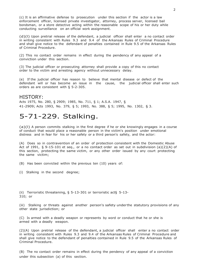(c) It is an affirmative defense to prosecution under this section if the actor is a law enforcement officer, licensed private investigator, attorney, process server, licensed bail bondsman, or a store detective acting within the reasonable scope of his or her duty while conducting surveillance on an official work assignment.

(d)(l) Upon pretrial release of the defendant, a judicial officer shall enter a no contact order in writing consistent with Rules 9.3 and 9.4 of the Arkansas Rules of Criminal Procedure and shall give notice to the defendant of penalties contained in Rule 9.5 of the Arkansas Rules of Criminal Procedure.

(2) This no contact order remains in effect during the pendency of any appeal of a conviction under this section.

(3) The judicial officer or prosecuting attorney shall provide a copy of this no contact order to the victim and arresting agency without unnecessary delay.

(e) If the judicial officer has reason to believe that mental disease or defect of the defendant will or has become an issue in the cause, the judicial officer shall enter such orders as are consistent with § 5-2-305.

#### HISTORY:

Acts 1975, No. 280, § 2909; 1985, No. 711, § 1; A.S.A. 1947, § 41-2909; Acts 1993, No. 379, § 5; 1993, No. 388, § 5; 1995, No. 1302, § 3.

### 5-71-229. Stalking.

(a)(l) A person commits stalking in the first degree if he or she knowingly engages in a course of conduct that would place a reasonable person in the victim's position under emotional distress and in fear for his or her safety or a third person's safety, and the actor:

(A) Does so in contravention of an order of protection consistent with the Domestic Abuse Act of 1991, § 9-15-101 et seq., or a no contact order as set out in subdivision (a)(2)(A) of this section, protecting the same victim, or any other order issued by any court protecting the same victim;

(B) Has been convicted within the previous ten (10) years of:

(i) Stalking in the second degree;

(ii) Terroristic threatening, § 5-13-301 or terroristic act§ 5-13- 310; or

(iii) Stalking or threats against another person's safety under the statutory provisions of any other state jurisdiction; or

(C) Is armed with a deadly weapon or represents by word or conduct that he or she is armed with a deadly weapon.

(2)(A) Upon pretrial release of the defendant, a judicial officer shall enter a no contact order in writing consistent with Rules 9.3 and 9.4 of the Arkansas Rules of Criminal Procedure and shall give notice to the defendant of penalties contained in Rule 9.5 of the Arkansas Rules of Criminal Procedure.

(B) The no contact order remains in effect during the pendency of any appeal of a conviction under this subsection (a) of this section.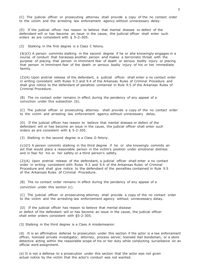(C) The judicial officer or prosecuting attorney shall provide a copy of the no contact order to the victim and the arresting law enforcement agency without unnecessary delay.

(D) If the judicial officer has reason to believe that mental disease or defect of the defendant will or has become an issue in the cause, the judicial officer shall enter such orders as are consistent with § 5-2-305.

(3) Stalking in the first degree is a Class C felony.

(b)(l) A person commits stalking in the second degree if he or she knowingly engages in a course of conduct that harasses another person and makes a terroristic threat with the purpose of placing that person in imminent fear of death or serious bodily injury or placing that person in imminent fear of the death or serious bodily injury of his or her immediate family.

(2)(A) Upon pretrial release of the defendant, a judicial officer shall enter a no contact order in writing consistent with Rules 9.3 and 9.4 of the Arkansas Rules of Criminal Procedure and shall give notice to the defendant of penalties contained in Rule 9.5 of the Arkansas Rules of Criminal Procedure.

(B) The no contact order remains in effect during the pendency of any appeal of a conviction under this subsection (b).

(C) The judicial officer or prosecuting attorney shall provide a copy of the no contact order to the victim and arresting law enforcement agency without unnecessary delay.

(D) If the judicial officer has reason to believe that mental disease or defect of the defendant will or has become an issue in the cause, the judicial officer shall enter such orders as are consistent with § 5-2-305.

(3) Stalking in the second degree is a Class D felony.

(c)(l) A person commits stalking in the third degree if he or she knowingly commits an act that would place a reasonable person in the victim's position under emotional distress and in fear for his or her safety or a third person's safety.

(2)(A) Upon pretrial release of the defendant, a judicial officer shall enter a no contact order in writing consistent with Rules 9.3 and 9.4 of the Arkansas Rules of Criminal Procedure and shall give notice to the defendant of the penalties contained in Rule 9.5 of the Arkansas Rules of Criminal Procedure.

(B) The no contact order remains in effect during the pendency of any appeal of a conviction under this section (c).

(C) The judicial officer or prosecuting attorney shall provide a copy of the no contact order to the victim and the arresting law enforcement agency without unnecessary delay.

(D) If the judicial officer has reason to believe that mental disease or defect of the defendant will or has become an issue in the cause, the judicial officer shall enter orders consistent with §5-2-305.

(3) Stalking in the third degree is a Class A misdemeanor.

(d) It is an affirmative defense to prosecution under this section if the actor is a law enforcement officer, licensed private investigator, attorney, process server, licensed bail bondsman, or a store detective acting within the reasonable scope of his or her duty while conducting surveillance on an official work assignment.

(e) It is not a defense to a prosecution under this section that the actor was not given actual notice by the victim that the actor's conduct was not wanted.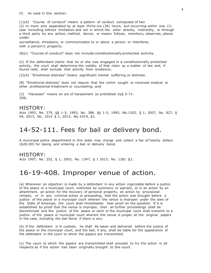(f) As used in this section:

(1)(A) "Course of conduct" means a pattern of conduct composed of two

(2) or more acts separated by at least thirty-six (36) hours, but occurring within one (1) year including without limitation and act in which the actor directly, indirectly, or through a third party by any action, method, device, or means follows, monitors, observes, places under

surveillance, threatens, or communicates to or about a person or interferes with a person's property.

(B)(i) "Course of conduct" does not include constitutionallyprotected activity.

(ii) If the defendant claims that he or she was engaged in a constitutionally protected activity, the court shall determine the validity of that claim as a matter of law and, if found valid, shall exclude that activity from evidence;

(2)(A) "Emotional distress" means significant mental suffering or distress.

(B) "Emotional distress" does not require that the victim sought or received medical or other professional treatment or counseling; and

(3) "Harasses" means an act of harassment as prohibited by§ 5-71- 208;

#### HISTORY:

Acts 1993, No. 379, §§ 1-3; 1993, No. 388, §§ 1-3; 1995, No.1302, § 1; 2007, No. 827, § 94, 2013, No. 1014 § 1, 2013, No.1014, §1.

### 14-52-111. Fees for bail or delivery bond.

A municipal police department in this state may charge and collect a fee of twenty dollars (\$20.00) for taking and entering a bail or delivery bond.

#### HISTORY:

Acts 1997, No. 252, § 1; 2003, No. 1347, § 1 2013, No. 1281 §1.

### 16-19-408. Improper venue of action.

(a) Whenever an objection is made by a defendant in any action cognizable before a justice of the peace or a municipal court, instituted by summons or warrant, or in an action by an attachment, an action for the recovery of personal property, an action by provisional remedy, or in any criminal action or proceeding, that the action was brought before a justice of the peace or a municipal court wherein the venue is improper under the laws of the State of Arkansas, the court shall immediately hear proof on the question. If it is established by proof that the venue is improper, then all further proceedings shall be discontinued and the justice of the peace or clerk of the municipal court shall transmit to a justice of the peace or municipal court wherein the venue is proper all the original papers in the case, including the bail bond, if there is any.

(b) If the defendant is in custody, he shall be taken and delivered before the justice of the peace or the municipal court, and the bail, if any, shall be liable for the appearance of the defendant in the court to which the papers are transmitted.

(c) The court to which the papers are transmitted shall proceed to try the action in all respects as if the action had been originally brought to the court.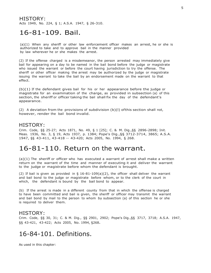HISTORY: Acts 1949, No. 224, § 1; A.S.A. 1947, § 26-310.

### 16-81-109. Bail.

(a)(1) When any sheriff or other law enforcement officer makes an arrest, he or she is authorized to take and to approve bail in the manner provided by law wherever he or she makes the arrest.

(2) If the offense charged is a misdemeanor, the person arrested may immediately give bail for appearing on a day to be named in the bail bond before the judge or magistrate who issued the warrant or before the court having jurisdiction to try the offense. The sheriff or other officer making the arrest may be authorized by the judge or magistrate issuing the warrant to take the bail by an endorsement made on the warrant to that effect.

(b)(1) If the defendant gives bail for his or her appearance before the judge or magistrate for an examination of the charge, as provided in subsection (a) of this section, the sheriff or officer taking the bail shall fix the day of the defendant's appearance.

(2) A deviation from the provisions of subdivision (b)(l) ofthis section shall not, however, render the bail bond invalid.

#### HISTORY:

Crim. Code, §§ 25-27; Acts 1871, No. 49, § 1 [25]; C. & M. Dig.,§§ 2896-2898; Init. Meas. 1936, No. 3, § 19, Acts 1937, p. 1384; Pope's Dig.,§§ 3712-3714, 3865; A.S.A. 1947, §§ 43-411, 43-418 -- 43-420; Acts 2005, No. 1994, § 268.

### 16-81-110. Return on the warrant.

(a)(1) The sheriff or officer who has executed a warrant of arrest shall make a written return on the warrant of the time and manner of executing it and deliver the warrant to the judge or magistrate before whom the defendant is brought.

(2) If bail is given as provided in  $\S$  16-81-109(a)(2), the officer shall deliver the warrant and bail bond to the judge or magistrate before whom, or to the clerk of the court in which, the defendant is bound by the bail bond to appear.

(b) If the arrest is made in a different county from that in which the offense is charged to have been committed and bail is given, the sheriff or officer may transmit the warrant and bail bond by mail to the person to whom by subsection (a) of this section he or she is required to deliver them.

#### HISTORY:

Crim. Code, §§ 30, 31; C. & M. Dig., §§ 2901, 2902; Pope's Dig.,§§ 3717, 3718; A.S.A. 1947, §§ 43-421, 43-422; Acts 2005, No. 1994, §268.

### 16-84-101. Definitions.

As used in this chapter: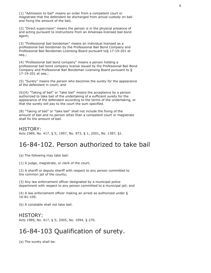(1) "Admission to bail" means an order from a competent court or magistrate that the defendant be discharged from actual custody on bail and fixing the amount of the bail;

(2) "Direct supervision" means the person is in the physical presence of and acting pursuant to instructions from an Arkansas-licensed bail bond agent;

(3) "Professional bail bondsman" means an individual licensed as a professional bail bondsman by the Professional Bail Bond Company and Professional Bail Bondsman Licensing Board pursuant to§ 17-19-201 et seq.;

(4) "Professional bail bond company" means a person holding a professional bail bond company license issued by the Professional Bail Bond Company and Professional Bail Bondsman Licensing Board pursuant to § 17-19-201 et seq.;

(5) "Surety" means the person who becomes the surety for the appearance of the defendant in court; and

(6)(A) "Taking of bail" or "take bail" means the acceptance by a person authorized to take bail of the undertaking of a sufficient surety for the appearance of the defendant according to the terms of the undertaking, or that the surety will pay to the court the sum specified.

(B) "Taking of bail" or "take bail" shall not include the fixing of the amount of bail and no person other than a competent court or magistrate shall fix the amount of bail.

#### HISTORY:

Acts 1989, No. 417, § 5; 1997, No. 973, § 1; 2001, No. 1387, §1.

### 16-84-102. Person authorized to take bail

(a) The following may take bail:

(1) A judge, magistrate, or clerk of the court;

(2) A sheriff or deputy sheriff with respect to any person committed to the common jail of the county;

(3) Any law enforcement officer designated by a municipal police department with respect to any person committed to a municipal jail; and

(4) A law enforcement officer making an arrest as authorized under § 16-81-109.

(b) A constable shall not take bail.

#### HISTORY:

Acts 1989, No. 417, § 5; 2005, No. 1994, § 270.

# 16-84-103 Qualification of surety.

(a) The surety shall be: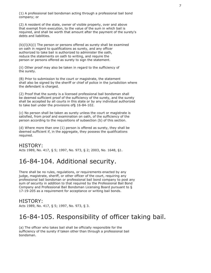(1) A professional bail bondsman acting through a professional bail bond company; or

(2) A resident of the state, owner of visible property, over and above that exempt from execution, to the value of the sum in which bail is required, and shall be worth that amount after the payment of the surety's debts and liabilities.

(b)(l)(A)(i) The person or persons offered as surety shall be examined on oath in regard to qualifications as surety, and any officer authorized to take bail is authorized to administer the oath, reduce the statements on oath to writing, and require the person or persons offered as surety to sign the statement.

(ii) Other proof may also be taken in regard to the sufficiency of the surety.

(B) Prior to submission to the court or magistrate, the statement shall also be signed by the sheriff or chief of police in the jurisdiction where the defendant is charged.

(2) Proof that the surety is a licensed professional bail bondsman shall be deemed sufficient proof of the sufficiency of the surety, and the surety shall be accepted by all courts in this state or by any individual authorized to take bail under the provisions of§ 16-84-102.

(c) No person shall be taken as surety unless the court or magistrate is satisfied, from proof and examination on oath, of the sufficiency of the person according to the requisitions of subsection (b) of this section.

(d) Where more than one (1) person is offered as surety, they shall be deemed sufficient if, in the aggregate, they possess the qualifications required.

### HISTORY:

Acts 1989, No. 417, § 5; 1997, No. 973, § 2; 2003, No. 1648, §1.

# 16-84-104. Additional security.

There shall be no rules, regulations, or requirements enacted by any judge, magistrate, sheriff, or other officer of the court, requiring any professional bail bondsman or professional bail bond company to post any sum of security in addition to that required by the Professional Bail Bond Company and Professional Bail Bondsman Licensing Board pursuant to § 17-19-205 as a requirement for acceptance or writing bail bonds.

### HISTORY:

Acts 1989, No. 417, § 5; 1997, No. 973, § 3.

### 16-84-105. Responsibility of officer taking bail.

(a) The officer who takes bail shall be officially responsible for the sufficiency of the surety if taken other than through a professional bail bondsman.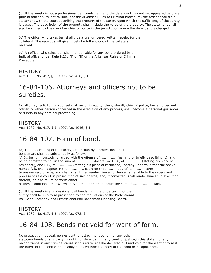(b) If the surety is not a professional bail bondsman, and the defendant has not yet appeared before a judicial officer pursuant to Rule 9 of the Arkansas Rules of Criminal Procedure, the officer shall file a statement with the court describing the property of the surety upon which the sufficiency of the surety is based. The description of the property shall include the value of the property. The statement shall also be signed by the sheriff or chief of police in the jurisdiction where the defendant is charged.

(c) The officer who takes bail shall give a prenumbered written receipt for the collateral. The receipt shall give in detail a full account of the collateral received.

(d) An officer who takes bail shall not be liable for any bond ordered by a judicial officer under Rule 9.2(b)(i) or (ii) of the Arkansas Rules of Criminal Procedure.

HISTORY: Acts 1989, No. 417, § 5; 1995, No. 470, § 1.

# 16-84-106. Attorneys and officers not to be sureties.

No attorney, solicitor, or counselor at law or in equity, clerk, sheriff, chief of police, law enforcement officer, or other person concerned in the execution of any process, shall become a personal guarantor or surety in any criminal proceeding.

### HISTORY:

Acts 1989, No. 417, § 5; 1997, No. 1046, § 1.

# 16-84-107. Form of bond.

(a) The undertaking of the surety, other than by a professional bail

bondsman, shall be substantially as follows:

"A.B., being in custody, charged with the offense of .............. (naming or briefly describing it), and being admitted to bail in the sum of................. dollars, we C.D., of .............. (stating his place of residence), and E.F., of ............... (stating his place of residence), hereby undertake that the above named A.B. shall appear in the ............... court on the .......... day of its .......... term to answer said charge, and shall at all times render himself or herself amenable to the orders and process of said court in prosecution of said charge, and, if convicted, shall render himself in execution thereof; or if he fail to perform either

of these conditions, that we will pay to the appropriate court the sum of ...............dollars."

(b) If the surety is a professional bail bondsman, the undertaking of the surety shall be in a form prescribed by the regulations of the Professional Bail Bond Company and Professional Bail Bondsman Licensing Board.

### HISTORY:

Acts 1989, No. 417, § 5; 1997, No. 973, § 4.

### 16-84-108. Bonds not void for want of form.

No prosecution, appeal, nonresident, or attachment bond, nor any other

statutory bonds of any party, plaintiff, or defendant in any court of justice,in this state, nor any recognizance in any criminal cause in this state, shallbe declared null and void for the want of form if the intent of the bond canbe plainly deduced from the body of the bond or recognizance.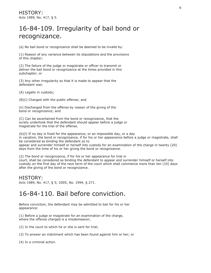# 16-84-109. Irregularity of bail bond or recognizance.

(a) No bail bond or recognizance shall be deemed to be invalid by:

(1) Reason of any variance between its stipulations and the provisions of this chapter;

(2) The failure of the judge or magistrate or officer to transmit or deliver the bail bond or recognizance at the times provided in this subchapter; or

(3) Any other irregularity so that it is made to appear that the defendant was:

(A) Legally in custody;

(B)(i) Charged with the public offense; and

(ii) Discharged from the offense by reason of the giving of the bond or recognizance; and

(C) Can be ascertained from the bond or recognizance, that the surety undertook that the defendant should appear before a judge or magistrate for the trial of the offense.

(b)(l) If no day is fixed for the appearance, or an impossible day, or a day in vacation, the bond or recognizance, if for his or her appearance before a judge or magistrate, shall be considered as binding the defendant so to

appear and surrender himself or herself into custody for an examination of the charge in twenty (20) days from the time of his or her giving the bond or recognizance.

(2) The bond or recognizance, if for his or her appearance for trial in court, shall be considered as binding the defendant to appear and surrender himself or herself into custody on the first day of the next term of the court which shall commence more than ten (10) days after the giving of the bond or recognizance.

#### HISTORY:

Acts 1989, No. 417, § 5; 2005, No. 1994, § 271.

### 16-84-110. Bail before conviction.

Before conviction, the defendant may be admitted to bail for his or her appearance:

(1) Before a judge or magistrate for an examination of the charge, where the offense charged is a misdemeanor;

(2) In the court to which he or she is sent for trial;

(3) To answer an indictment which has been found against him or her; or

(4) In a criminal action.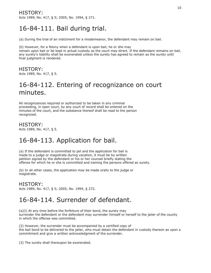### HISTORY:

Acts 1989, No. 417, § 5; 2005, No. 1994, § 271.

# 16-84-111. Bail during trial.

(a) During the trial of an indictment for a misdemeanor, the defendant may remain on bail.

(b) However, for a felony when a defendant is upon bail, he or she may remain upon bail or be kept in actual custody as the court may direct. If the defendant remains on bail, any surety's liability shall be exonerated unless the surety has agreed to remain as the surety until final judgment is rendered.

HISTORY: Acts 1989, No. 417, § 5.

# 16-84-112. Entering of recognizance on court minutes.

All recognizances required or authorized to be taken in any criminal proceeding, in open court, by any court of record shall be entered on the minutes of the court, and the substance thereof shall be read to the person recognized.

HISTORY: Acts 1989, No. 417, § 5.

# 16-84-113. Application for bail.

(a) If the defendant is committed to jail and the application for bail is made to a judge or magistrate during vacation, it must be by written petition signed by the defendant or his or her counsel briefly stating the offense for which he or she is committed and naming the persons offered as surety.

(b) In all other cases, the application may be made orally to the judge or magistrate.

### HISTORY:

Acts 1989, No. 417, § 5; 2005, No. 1994, § 272.

# 16-84-114. Surrender of defendant.

(a)(l) At any time before the forfeiture of their bond, the surety may surrender the defendent or the defendent may surrender himself or herself to the jailer of the county in which the offense was committed.

(2) However, the surrender must be accompanied by a certified copy of the bail bond to be delivered to the jailer, who must detain the defendant in custody thereon as upon a commitment and give a written acknowledgment of the surrender.

(3) The surety shall thereupon be exonerated.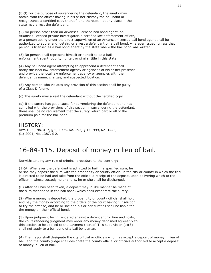(b)(l) For the purpose of surrendering the defendant, the surety may obtain from the officer having in his or her custody the bail bond or recognizance a certified copy thereof, and thereupon at any place in the state may arrest the defendant.

(2) No person other than an Arkansas-licensed bail bond agent, an Arkansas-licensed private investigator, a certified law enforcement officer, or a person acting under the direct supervision of an Arkansas-licensed bail bond agent shall be authorized to apprehend, detain, or arrest a defendant on a bail bond, wherever issued, unless that person is licensed as a bail bond agent by the state where the bail bond was written.

(3) No person shall represent himself or herself to be a bail enforcement agent, bounty hunter, or similar title in this state.

(4) Any bail bond agent attempting to apprehend a defendant shall notify the local law enforcement agency or agencies of his or her presence and provide the local law enforcement agency or agencies with the defendant's name, charges, and suspected location.

(5) Any person who violates any provision of this section shall be guilty of a Class D felony.

(c) The surety may arrest the defendant without the certified copy.

(d) If the surety has good cause for surrendering the defendant and has complied with the provisions of this section in surrendering the defendant, there shall be no requirement that the surety return part or all of the premium paid for the bail bond.

#### HISTORY:

Acts 1989, No. 417, § 5; 1995, No. 593, § 1; 1999, No. 1445, §1; 2001, No. 1387, § 2.

### 16-84-115. Deposit of money in lieu of bail.

Notwithstanding any rule of criminal procedure to the contrary;

(1)(A) Whenever the defendant is admitted to bail in a specified sum, he or she may deposit the sum with the proper city or county official in the city or county in which the trial is directed to be had and take from the official a receipt of the deposit, upon delivering which to the officer in whose custody he or she is, he or she shall be discharged.

(B) After bail has been taken, a deposit may in like manner be made of the sum mentioned in the bail bond, which shall exonerate the surety.

(2) Where money is deposited, the proper city or county official shall hold and pay the money according to the orders of the court having jurisdiction to try the offense, and he or she and his or her sureties shall be liable for the money on their official bond.

(3) Upon judgment being rendered against a defendant for fine and costs, the court rendering judgment may order any money deposited agreeably to this section to be applied to the payment thereof. This subdivision (a)(3) shall not apply to a bail bond of a bail bondsman.

(4) The mayor shall designate the city official or officials who may accept a deposit of money in lieu of bail, and the county judge shall designate the county official or officials authorized to accept a deposit of money in lieu of bail.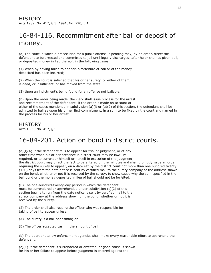# 16-84-116. Recommitment after bail or deposit of money.

(a) The court in which a prosecution for a public offense is pending may, by an order, direct the defendant to be arrested and committed to jail until legally discharged, after he or she has given bail, or deposited money in lieu thereof, in the following cases:

(1) When by having failed to appear, a forfeiture of bail or of the money deposited has been incurred;

(2) When the court is satisfied that his or her surety, or either of them, is dead, or insufficient, or has moved from the state;

(3) Upon an indictment's being found for an offense not bailable.

(b) Upon the order being made, the clerk shall issue process for the arrest and recommitment of the defendant. If the order is made on account of either of the cases mentioned in subdivision (a)(l) or (a)(2) of this section, the defendant shall be admitted to bail as upon his or her first commitment, in a sum to be fixed by the court and named in the process for his or her arrest.

HISTORY: Acts 1989, No. 417, § 5.

# 16-84-201. Action on bond in district courts.

(a)(l)(A) If the defendant fails to appear for trial or judgment, or at any other time when his or her presence in district court may be lawfully required, or to surrender himself or herself in execution of the judgment, the district court may direct the fact to be entered on the minutes and shall promptly issue an order requiring the surety to appear, on a date set by the district court not more than one hundred twenty (120) days from the date notice is sent by certified mail to the surety company at the address shown on the bond, whether or not it is received by the surety, to show cause why the sum specified in the bail bond or the money deposited in lieu of bail should not be forfeited.

(B) The one-hundred-twenty-day period in which the defendant must be surrendered or apprehended under subdivision (c)(2) of this section begins to run from the date notice is sent by certified mail to the surety company at the address shown on the bond, whether or not it is received by the surety.

(2) The order shall also require the officer who was responsible for taking of bail to appear unless:

(A) The surety is a bail bondsman; or

(B) The officer accepted cash in the amount of bail.

(b) The appropriate law enforcement agencies shall make every reasonable effort to apprehend the defendant.

(c)(1) If the defendant is surrendered or arrested, or good cause is shown for his or her failure to appear before judgment is entered against the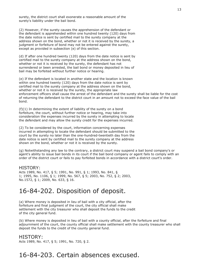surety, the district court shall exonerate a reasonable amount of the surety's liability under the bail bond.

(2) However, if the surety causes the apprehension of the defendant or the defendant is apprehended within one hundred twenty (120) days from the date notice is sent by certified mail to the surety company at the address shown on the bond, whether or not it is received by the surety, a judgment or forfeiture of bond may not be entered against the surety, except as provided in subsection (e) of this section.

(d) If after one hundred twenty (120) days from the date notice is sent by certified mail to the surety company at the address shown on the bond, whether or not it is received by the surety, the defendant has not surrendered or been arrested, the bail bond or money deposited in lieu of bail may be forfeited without further notice or hearing.

(e) If the defendant is located in another state and the location is known within one hundred twenty (120) days from the date notice is sent by certified mail to the surety company at the address shown on the bond, whether or not it is received by the surety, the appropriate law enforcement officers shall cause the arrest of the defendant and the surety shall be liable for the cost of returning the defendant to the district court in an amount not to exceed the face value of the bail bond.

 $(f)(1)$  In determining the extent of liability of the surety on a bond forfeiture, the court, without further notice or hearing, may take into consideration the expenses incurred by the surety in attempting to locate the defendant and may allow the surety credit for the expenses incurred.

(2) To be considered by the court, information concerning expenses incurred in attempting to locate the defendant should be submitted to the court by the surety no later than the one-hundred-twentieth day from the date notice is sent by certified mail to the surety company at the address shown on the bond, whether or not it is received by the surety.

(g) Notwithstanding any law to the contrary, a district court may suspend a bail bond company's or agent's ability to issue bail bonds in its court if the bail bond company or agent fails to comply with an order of the district court or fails to pay forfeited bonds in accordance with a district court's order.

#### HISTORY:

Acts 1989, No. 417, § 5; 1991, No. 991, § 1; 1993, No. 841, § 1; 1995, No. 1106, § 1; 1999, No. 567, § 5; 2003, No. 752, § 2; 2003, No.1572, § 1; 2009, No. 633, § 16.

### 16-84-202. Disposition of deposit.

(a) Where money is deposited in lieu of bail with a city official, after the forfeiture and final judgment of the court, the city official shall make settlement with the city treasurer who shall deposit the funds to the credit of the city general fund.

(b) Where money is deposited in lieu of bail with a county official, after the forfeiture and final adjournment of the court, the county official shall make settlement with the county treasurer who shall deposit the funds to the credit of the county general fund.

#### HISTORY:

Acts 1989, No. 417, § 5; 1991, No. 720, § 2.

### 16-84-203. Certain absences excused.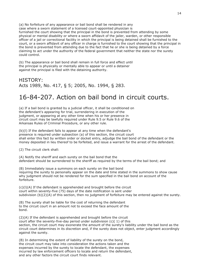(a) No forfeiture of any appearance or bail bond shall be rendered in any case where a sworn statement of a licensed court-appointed physician is furnished the court showing that the principal in the bond is prevented from attending by some physical or mental disability or where a sworn affidavit of the jailer, warden, or other responsible officer of a jail or correctional facility in which the principal is being detained shall be furnished to the court, or a sworn affidavit of any officer in charge is furnished to the court showing that the principal in the bond is prevented from attending due to the fact that he or she is being detained by a force claiming to act under the authority of the federal government that neither the state nor the surety could control.

(b) The appearance or bail bond shall remain in full force and effect until the principal is physically or mentally able to appear or until a detainer against the principal is filed with the detaining authority.

### HISTORY: Acts 1989, No. 417, § 5; 2005, No. 1994, § 283.

# 16-84-207. Action on bail bond in circuit courts.

(a) If a bail bond is granted by a judicial officer, it shall be conditioned on the defendant's appearing for trial, surrendering in execution of the judgment, or appearing at any other time when his or her presence in circuit court may be lawfully required under Rule 9.5 or Rule 9.6 of the Arkansas Rules of Criminal Procedure, or any other rule.

(b)(l) If the defendant fails to appear at any time when the defendant's presence is required under subsection (a) of this section, the circuit court shall enter this fact by written order or docket entry, adjudge the bail bond of the defendant or the money deposited in lieu thereof to be forfeited, and issue a warrant for the arrest of the defendant.

(2) The circuit clerk shall:

(A) Notify the sheriff and each surety on the bail bond that the defendant should be surrendered to the sheriff as required by the terms of the bail bond; and

(B) Immediately issue a summons on each surety on the bail bond requiring the surety to personally appear on the date and time stated in the summons to show cause why judgment should not be rendered for the sum specified in the bail bond on account of the forfeiture.

(c)(l)(A) If the defendant is apprehended and brought before the circuit court within seventy-five (75) days of the date notification is sent under subdivision (b)(2)(A) of this section, then no judgment of forfeiture may be entered against the surety.

(B) The surety shall be liable for the cost of returning the defendant to the circuit court in an amount not to exceed the face amount of the bond.

(2)(A) If the defendant is apprehended and brought before the circuit court after the seventy-five-day period under subdivision (c)( 1) of this section, the circuit court may exonerate the amount of the surety's liability under the bail bond as the circuit court determines in its discretion and, if the surety does not object, enter judgment accordingly against the surety.

(B) In determining the extent of liability of the surety on the bond, the circuit court may take into consideration the actions taken and the expenses incurred by the surety to locate the defendant, the expenses incurred by law enforcement officers to locate and return the defendant, and any other factors the circuit court finds relevant.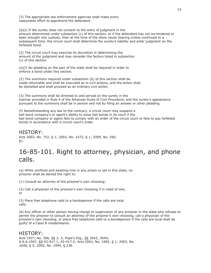(3) The appropriate law enforcement agencies shall make every reasonable effort to apprehend the defendant.

(d)(l) If the surety does not consent to the entry of judgment in the amount determined under subsection (c) of this section, or if the defendant has not surrendered or been brought into custody, then at the time of the show cause hearing unless continued to a subsequent time, the circuit court shall determine the surety's liability and enter judgment on the forfeited bond.

(2) The circuit court may exercise its discretion in determining the amount of the judgment and may consider the factors listed in subsection (c) of this section.

(e)(l) No pleading on the part of the state shall be required in order to enforce a bond under this section.

(2) The summons required under subsection (b) of this section shall be made returnable and shall be executed as in civil actions, and the action shall be docketed and shall proceed as an ordinary civil action.

(3) The summons shall be directed to and served on the surety in the manner provided in Rule 4 of the Arkansas Rules of Civil Procedure, and the surety's appearance pursuant to the summons shall be in person and not by filing an answer or other pleading.

(f) Notwithstanding any law to the contrary, a circuit court may suspend a bail bond company's or agent's ability to issue bail bonds in its court if the bail bond company or agent fails to comply with an order of the circuit court or fails to pay forfeited bonds in accordance with a circuit court's order.

HISTORY: Acts 2003, No. 752, § 1; 2003, No. 1472, § 1; 2009, No. 290, §1.

### 16-85-101. Right to attorney, physician, and phone calls.

(a) While confined and awaiting trial in any prison or jail in this state, no prisoner shall be denied the right to:

(1) Consult an attorney of the prisoner's own choosing;

(2) Call a physician of the prisoner's own choosing if in need of one; or

(3) Place free telephone calls to a bondsperson if the calls are local calls.

(b) Any officer or other person having charge or supervision of any prisoner in the state who refuses to permit the prisoner to consult an attorney of the prisoner's own choosing, call a physician of the prisoner's own choosing, or place free telephone calls to a bondsperson if the calls are local shall be guilty of a Class B misdemeanor.

#### HISTORY:

Acts 1937, No. 306, §§ 2, 3; Pope's Dig., §§ 3043, 3044; A.S.A.1947, §§ 43-417.1, 43-417.2; Acts 2001, No. 1682, § 1; 2003, No. 1648, § 2; 2005, No. 1994, § 236.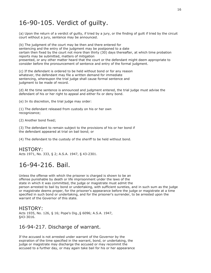# 16-90-105. Verdict of guilty.

(a) Upon the return of a verdict of guilty, if tried by a jury, or the finding of guilt if tried by the circuit court without a jury, sentence may be announced.

(b) The judgment of the court may be then and there entered for sentencing and the entry of the judgment may be postponed to a date certain then fixed by the court not more than thirty (30) days thereafter, at which time probation reports may be submitted, matters of mitigation presented, or any other matter heard that the court or the defendant might deem appropriate to consider before the pronouncement of sentence and entry of the formal judgment.

(c) If the defendant is ordered to be held without bond or for any reason whatever, the defendant may file a written demand for immediate sentencing, whereupon the trial judge shall cause formal sentence and judgment to be made of record.

(d) At the time sentence is announced and judgment entered, the trial judge must advise the defendant of his or her right to appeal and either fix or deny bond.

(e) In its discretion, the trial judge may order:

(1) The defendant released from custody on his or her own recognizance;

(2) Another bond fixed;

(3) The defendant to remain subject to the provisions of his or her bond if the defendant appeared at trial on bail bond; or

(4) The defendant to the custody of the sheriff to be held without bond.

#### HISTORY:

Acts 1971, No. 333, § 2; A.S.A. 1947, § 43-2301.

### 16-94-216. Bail.

Unless the offense with which the prisoner is charged is shown to be an offense punishable by death or life imprisonment under the laws of the state in which it was committed, the judge or magistrate must admit the person arrested to bail by bond or undertaking, with sufficient sureties, and in such sum as the judge or magistrate deems proper, for the prisoner's appearance before the judge or magistrate at a time specified in such bond or undertaking, and for the prisoner's surrender, to be arrested upon the warrant of the Governor of this state.

#### HISTORY:

Acts 1935, No. 126, § 16; Pope's Dig.,§ 6096; A.S.A. 1947, §43-3016.

### 16-94-217. Discharge of warrant.

If the accused is not arrested under warrant of the Governor by the expiration of the time specified in the warrant, bond, or undertaking, the judge or magistrate may discharge the accused or may recommit the accused to a further day, or may again take bail for his or her appearance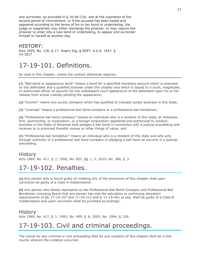and surrender, as provided in § 16-94-216; and at the expiration of the second period of commitment, or if the accused has been bailed and appeared according to the terms of his or her bond or undertaking, the judge or magistrate may either discharge the prisoner, or may require the prisoner to enter into a new bond or undertaking, to appear and surrender himself or herself at another day.

#### HISTORY:

Acts 1935, No. 126, § 17; Pope's Dig.,§ 6097; A.S.A. 1947, § 43-3017

### 17-19-101. Definitions.

As used in this chapter, unless the context otherwise requires:

**(1)** "Bail bond or appearance bond" means a bond for a specified monetary amount which is executed by the defendant and a qualified licensee under this chapter and which is issued to a court, magistrate, or authorized officer as security for the subsequent court appearance of the defendant upon his or her release from actual custody pending the appearance;

**(2)** "Insurer" means any surety company which has qualified to transact surety business in this state;

**(3)** "Licensee" means a professional bail bond company or a professional bail bondsman;

**(4)** "Professional bail bond company" means an individual who is a resident of this state, an Arkansas firm, partnership, or corporation, or a foreign corporation registered and authorized to conduct business in the State of Arkansas that pledges a bail bond in connection with a judicial proceeding and receives or is promised therefor money or other things of value; and

**(5)** "Professional bail bondsman" means an individual who is a resident of this state and who acts through authority of a professional bail bond company in pledging a bail bond as security in a judicial proceeding.

#### History

Acts 1989, No. 417, § 1; 1995, No. 827, §§ 1, 3; 2019, No. 386, § 3.

### 17-19-102. Penalties.

**(a)** Any person who is found guilty of violating any of the provisions of this chapter shall upon conviction be guilty of a Class A misdemeanor.

**(b)** Any person who falsely represents to the Professional Bail Bond Company and Professional Bail Bondsman Licensing Board that any person has met the education or continuing education requirements of §§ 17-19-107 and 17-19-212 and § 17-19-401 et seq. shall be guilty of a Class B misdemeanor and upon conviction shall be punished accordingly.

#### **History**

Acts 1989, No. 417, § 1; 1993, No. 499, § 6; 2005, No. 1994, § 226.

### 17-19-103. Civil and criminal proceedings.

The venue for any criminal or civil proceeding filed for any violation of this chapter shall be in the county wherein the violation occurred.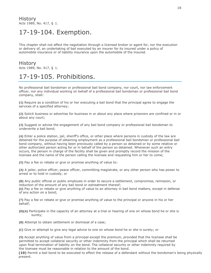# 17-19-104. Exemption.

This chapter shall not affect the negotiation through a licensed broker or agent for, nor the execution or delivery of, an undertaking of bail executed by an insurer for its insured under a policy of automobile insurance or of liability insurance upon the automobile of the insured.

### History

Acts 1989, No. 417, § 1.

# 17-19-105. Prohibitions.

No professional bail bondsman or professional bail bond company, nor court, nor law enforcement officer, nor any individual working on behalf of a professional bail bondsman or professional bail bond company, shall:

**(1)** Require as a condition of his or her executing a bail bond that the principal agree to engage the services of a specified attorney;

**(2)** Solicit business or advertise for business in or about any place where prisoners are confined or in or about any court;

**(3)** Suggest or advise the engagement of any bail bond company or professional bail bondsman to underwrite a bail bond;

**(4)** Enter a police station, jail, sheriff's office, or other place where persons in custody of the law are detained for the purpose of obtaining employment as a professional bail bondsman or professional bail bond company, without having been previously called by a person so detained or by some relative or other authorized person acting for or in behalf of the person so detained. Whenever such an entry occurs, the person in charge of the facility shall be given and promptly record the mission of the licensee and the name of the person calling the licensee and requesting him or her to come;

**(5)** Pay a fee or rebate or give or promise anything of value to:

**(A)** A jailer, police officer, peace officer, committing magistrate, or any other person who has power to arrest or to hold in custody; or

**(B)** Any public official or public employee in order to secure a settlement, compromise, remission, or reduction of the amount of any bail bond or estreatment thereof; **(6)** Pay a fee or rebate or give anything of value to an attorney in bail bond matters, except in defense of any action on a bond;

**(7)** Pay a fee or rebate or give or promise anything of value to the principal or anyone in his or her behalf;

- **(8)(A)** Participate in the capacity of an attorney at a trial or hearing of one on whose bond he or she is surety;
- **(B)** Attempt to obtain settlement or dismissal of a case;

**(C)** Give or attempt to give any legal advice to one on whose bond he or she is surety; or

**(9)** Accept anything of value from a principal except the premium, provided that the licensee shall be permitted to accept collateral security or other indemnity from the principal which shall be returned upon final termination of liability on the bond. The collateral security or other indemnity required by the licensee must be reasonable in relation to the amount of the bond.

**(10)** Permit a bail bond to be executed to effect the release of a defendant without the bondsman's being physically present.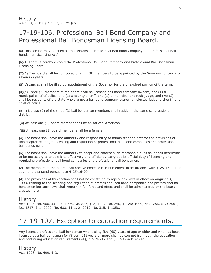# 17-19-106. Professional Bail Bond Company and Professional Bail Bondsman Licensing Board.

**(a)** This section may be cited as the "Arkansas Professional Bail Bond Company and Professional Bail Bondsman Licensing Act".

**(b)(1)** There is hereby created the Professional Bail Bond Company and Professional Bail Bondsman Licensing Board.

**(2)(A)** The board shall be composed of eight (8) members to be appointed by the Governor for terms of seven (7) years.

**(B)** Vacancies shall be filled by appointment of the Governor for the unexpired portion of the term.

**(3)(A)** Three (3) members of the board shall be licensed bail bond company owners, one (1) a municipal chief of police, one (1) a county sheriff, one (1) a municipal or circuit judge, and two (2) shall be residents of the state who are not a bail bond company owner, an elected judge, a sheriff, or a chief of police.

**(B)(i)** No two (2) of the three (3) bail bondsman members shall reside in the same congressional district.

**(ii)** At least one (1) board member shall be an African-American.

**(iii)** At least one (1) board member shall be a female.

**(4)** The board shall have the authority and responsibility to administer and enforce the provisions of this chapter relating to licensing and regulation of professional bail bond companies and professional bail bondsmen.

**(5)** The board shall have the authority to adopt and enforce such reasonable rules as it shall determine to be necessary to enable it to effectively and efficiently carry out its official duty of licensing and regulating professional bail bond companies and professional bail bondsmen.

**(c)** The members of the board shall receive expense reimbursement in accordance with § 25-16-901 et seq., and a stipend pursuant to § 25-16-904.

**(d)** The provisions of this section shall not be construed to repeal any laws in effect on August 13, 1993, relating to the licensing and regulation of professional bail bond companies and professional bail bondsmen but such laws shall remain in full force and effect and shall be administered by the board created herein.

#### History

Acts 1993, No. 500, §§ 1-5; 1995, No. 827, § 2; 1997, No. 250, § 126; 1999, No. 1286, § 2; 2001, No. 1817, § 1; 2009, No. 683, §§ 1, 2; 2019, No. 315, § 1358.

# 17-19-107. Exception to education requirements.

Any licensed professional bail bondsman who is sixty-five (65) years of age or older and who has been licensed as a bail bondsman for fifteen (15) years or more shall be exempt from both the education and continuing education requirements of  $\S$  17-19-212 and  $\S$  17-19-401 et seq.

History Acts 1993, No. 499, § 3.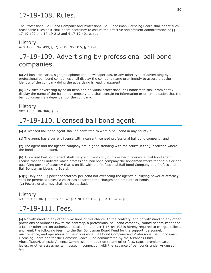# 17-19-108. Rules.

The Professional Bail Bond Company and Professional Bail Bondsman Licensing Board shall adopt such reasonable rules as it shall deem necessary to assure the effective and efficient administration of §§ 17-19-107 and 17-19-212 and § 17-19-401 et seq.

#### History

Acts 1993, No. 499, § 7; 2019, No. 315, § 1359.

# 17-19-109. Advertising by professional bail bond companies.

**(a)** All business cards, signs, telephone ads, newspaper ads, or any other type of advertising by professional bail bond companies shall display the company name prominently to assure that the identity of the company doing the advertising is readily apparent.

**(b)** Any such advertising by or on behalf of individual professional bail bondsmen shall prominently display the name of the bail bond company and shall contain no information or other indication that the bail bondsman is independent of the company.

History Acts 1993, No. 400, § 1.

# 17-19-110. Licensed bail bond agent.

**(a)** A licensed bail bond agent shall be permitted to write a bail bond in any county if:

**(1)** The agent has a current license with a current licensed professional bail bond company; and

**(2)** The agent and the agent's company are in good standing with the courts in the jurisdiction where the bond is to be posted.

**(b)** A licensed bail bond agent shall carry a current copy of his or her professional bail bond agent license that shall indicate which professional bail bond company the bondsman works for and his or her qualifying power of attorney that is on file with the Professional Bail Bond Company and Professional Bail Bondsman Licensing Board.

**(c)(1)** Only one (1) power of attorney per bond not exceeding the agent's qualifying power of attorney shall be permitted unless a court has separated the charges and amounts of bonds. **(2)** Powers of attorney shall not be stacked.

### History

Acts 1993, No. 402, § 1; 1999, No. 567, § 2; 2003, No. 1648, § 3; 2011, No. 94, § 1.

### 17-19-111. Fees.

**(a)** Notwithstanding any other provisions of this chapter to the contrary, and notwithstanding any other provisions of Arkansas law to the contrary, a professional bail bond company, county sheriff, keeper of a jail, or other person authorized to take bond under § 16-84-102 is hereby required to charge, collect, and remit the following fees into the Bail Bondsman Board Fund for the support, personnel, maintenance, and operations of the Professional Bail Bond Company and Professional Bail Bondsman Licensing Board and for the Domestic Peace Fund administered by the Arkansas Child Abuse/Rape/Domestic Violence Commission, in addition to any other fees, taxes, premium taxes, levies, or other assessments imposed in connection with the issuance of bail bonds under Arkansas law.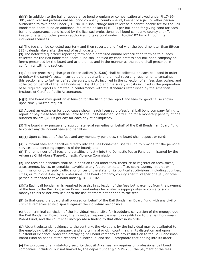**(b)(1)** In addition to the bail or appearance bond premium or compensation allowed under § 17-19- 301, each licensed professional bail bond company, county sheriff, keeper of a jail, or other person authorized to take bond under § 16-84-102 shall charge and collect as a nonrefundable fee for the Bail Bondsman Board Fund an additional fee of ten dollars (\$10.00) per bail bond for giving bond for each bail and appearance bond issued by the licensed professional bail bond company, county sheriff, keeper of a jail, or other person authorized to take bond under § 16-84-102 by or through its individual licensees.

**(2)** The fee shall be collected quarterly and then reported and filed with the board no later than fifteen (15) calendar days after the end of each quarter.

**(3)** The notarized quarterly reporting form and a notarized annual reconciliation form as to all fees collected for the Bail Bondsman Board Fund shall be filed by each professional bail bond company on forms prescribed by the board and at the times and in the manner as the board shall prescribe in conformity with this section.

**(4)** A paper-processing charge of fifteen dollars (\$15.00) shall be collected on each bail bond in order to defray the surety's costs incurred by the quarterly and annual reporting requirements contained in this section and to further defray the surety's costs incurred in the collection of all fees due, owing, and collected on behalf of the Bail Bondsman Board Fund and the surety's costs incurred in the preparation of all required reports submitted in conformance with the standards established by the American Institute of Certified Public Accountants.

**(c)(1)** The board may grant an extension for the filing of the report and fees for good cause shown upon timely written request.

**(2)** Absent an extension for good cause shown, each licensed professional bail bond company failing to report or pay these fees shall be liable to the Bail Bondsman Board Fund for a monetary penalty of one hundred dollars (\$100) per day for each day of delinquency.

**(3)** The board may pursue any appropriate legal remedies on behalf of the Bail Bondsman Board Fund to collect any delinquent fees and penalties.

**(d)(1)** Upon collection of the fees and any monetary penalties, the board shall deposit or fund:

**(A)** Sufficient fees and penalties directly into the Bail Bondsman Board Fund to provide for the personal services and operating expenses of the board; and

**(B)** The remainder of all fees and penalties directly into the Domestic Peace Fund administered by the Arkansas Child Abuse/Rape/Domestic Violence Commission.

**(2)** The fees and penalties shall be in addition to all other fees, licensure or registration fees, taxes, assessments, levies, or penalties payable to any federal or state office, court, agency, board, or commission or other public official or officer of the state, or its political subdivisions, including counties, cities, or municipalities, by a professional bail bond company, county sheriff, keeper of a jail, or other person authorized to take bond under § 16-84-102.

**(3)(A)** Each bail bondsman is required to assist in collection of the fees but is exempt from the payment of the fees to the Bail Bondsman Board Fund unless he or she misappropriates or converts such moneys to his or her own use or to the use of others not entitled to the fees.

**(B)** In that case, the board shall proceed on behalf of the Bail Bondsman Board Fund with any civil or criminal remedies at its disposal against the individual responsible.

**(C)** Upon criminal conviction of the individual responsible for fraudulent conversion of the moneys due the Bail Bondsman Board Fund, the individual responsible shall pay restitution to the Bail Bondsman Board Fund, and the court shall incorporate a finding to that effect in its order.

**(D)** Absent substantial evidence to the contrary, the violations by the individual may be attributed to the employing bail bond company, and any criminal or civil court may, in its discretion and upon substantial evidence, order the employing bail bond company to pay restitution to the Bail Bondsman Board Fund on behalf of the responsible individual and shall incorporate that finding into its order.

**(e)** For purposes of any statutory security deposit Arkansas law requires of professional bail bond companies, including, but not limited to, the deposit under § 17-19-205, the payment of the fees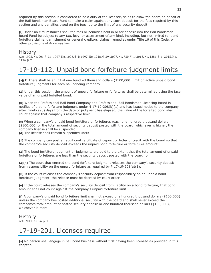required by this section is considered to be a duty of the licensee, so as to allow the board on behalf of the Bail Bondsman Board Fund to make a claim against any such deposit for the fees required by this section and any penalties owed on the fees, up to the limit of any security deposit.

**(f)** Under no circumstances shall the fees or penalties held in or for deposit into the Bail Bondsman Board Fund be subject to any tax, levy, or assessment of any kind, including, but not limited to, bond forfeiture claims, garnishment or general creditors' claims, remedies under Title 16 of this Code, or other provisions of Arkansas law.

#### History

Acts 1993, No. 901, § 31; 1997, No. 1096, § 1; 1997, No. 1248, § 39; 2007, No. 730, § 1; 2013, No. 1281, § 1; 2015, No. 1156, § 2.

# 17-19-112. Unpaid bond forfeiture judgment limits.

**(a)(1)** There shall be an initial one hundred thousand dollars (\$100,000) limit on active unpaid bond forfeiture judgments for each bail bonding company.

**(2)** Under this section, the amount of unpaid forfeiture or forfeitures shall be determined using the face value of an unpaid forfeited bond.

**(b)** When the Professional Bail Bond Company and Professional Bail Bondsman Licensing Board is notified of a bond forfeiture judgment under § 17-19-208(b)(1) and has issued notice to the company after ninety (90) days from the date of judgment has elapsed, the value of the forfeited bond shall count against that company's respective limit.

**(c)** When a company's unpaid bond forfeiture or forfeitures reach one hundred thousand dollars (\$100,000) or the total amount of security deposit posted with the board, whichever is higher, the company license shall be suspended.

**(d)** The license shall remain suspended until:

**(1)** The company can post an additional certificate of deposit or letter of credit with the board so that the company's security deposit exceeds the unpaid bond forfeiture or forfeitures amount;

**(2)** The bond forfeiture judgment or judgments are paid to the extent that the total amount of unpaid forfeiture or forfeitures are less than the security deposit posted with the board; or

**(3)(A)** The court that entered the bond forfeiture judgment releases the company's security deposit from responsibility on the unpaid forfeiture as required by  $\S$  17-19-208(a)(1).

**(B)** If the court releases the company's security deposit from responsibility on an unpaid bond forfeiture judgment, the release must be decreed by court order.

**(e)** If the court releases the company's security deposit from liability on a bond forfeiture, that bond amount shall not count against the company's unpaid forfeiture limit.

**(f)** A company's unpaid bond forfeiture limit shall not exceed one hundred thousand dollars (\$100,000) unless the company has posted additional security with the board and shall never exceed the company's total amount of posted security deposit or one hundred thousand dollars (\$100,000), whichever is more.

#### **History**

Acts 2011, No. 96, § 1.

# 17-19-201. Licenses required.

**(a)** No person shall engage in bail bond business without first having been licensed as provided in this chapter.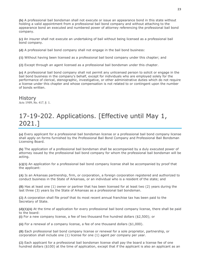**(b)** A professional bail bondsman shall not execute or issue an appearance bond in this state without holding a valid appointment from a professional bail bond company and without attaching to the appearance bond an executed and numbered power of attorney referencing the professional bail bond company.

**(c)** An insurer shall not execute an undertaking of bail without being licensed as a professional bail bond company.

**(d)** A professional bail bond company shall not engage in the bail bond business:

**(1)** Without having been licensed as a professional bail bond company under this chapter; and

**(2)** Except through an agent licensed as a professional bail bondsman under this chapter.

**(e)** A professional bail bond company shall not permit any unlicensed person to solicit or engage in the bail bond business in the company's behalf, except for individuals who are employed solely for the performance of clerical, stenographic, investigative, or other administrative duties which do not require a license under this chapter and whose compensation is not related to or contingent upon the number of bonds written.

**History** Acts 1989, No. 417, § 1.

# 17-19-202. Applications. [Effective until May 1, 2021.]

**(a)** Every applicant for a professional bail bondsman license or a professional bail bond company license shall apply on forms furnished by the Professional Bail Bond Company and Professional Bail Bondsman Licensing Board.

**(b)** The application of a professional bail bondsman shall be accompanied by a duly executed power of attorney issued by the professional bail bond company for whom the professional bail bondsman will be acting.

**(c)(1)** An application for a professional bail bond company license shall be accompanied by proof that the applicant:

**(A)** Is an Arkansas partnership, firm, or corporation, a foreign corporation registered and authorized to conduct business in the State of Arkansas, or an individual who is a resident of the state; and

**(B)** Has at least one (1) owner or partner that has been licensed for at least two (2) years during the last three (3) years by the State of Arkansas as a professional bail bondsman.

**(2)** A corporation shall file proof that its most recent annual franchise tax has been paid to the Secretary of State.

**(d)(1)(A)** At the time of application for every professional bail bond company license, there shall be paid to the board:

**(i)** For a new company license, a fee of two thousand five hundred dollars (\$2,500); or

**(ii)** For a renewal of a company license, a fee of one thousand dollars (\$1,000).

**(B)** Each professional bail bond company license or renewal for a sole proprietor, partnership, or corporation shall include one (1) license for one (1) agent per company per year.

**(2)** Each applicant for a professional bail bondsman license shall pay the board a license fee of one hundred dollars (\$100) at the time of application, except that if the applicant is also an applicant as an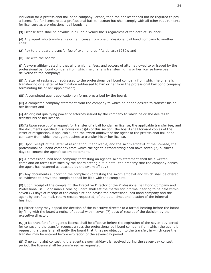individual for a professional bail bond company license, then the applicant shall not be required to pay a license fee for licensure as a professional bail bondsman but shall comply with all other requirements for licensure as a professional bail bondsman.

**(3)** License fees shall be payable in full on a yearly basis regardless of the date of issuance.

**(4)** Any agent who transfers his or her license from one professional bail bond company to another shall:

**(A)** Pay to the board a transfer fee of two hundred fifty dollars (\$250); and

**(B)** File with the board:

**(i)** A sworn affidavit stating that all premiums, fees, and powers of attorney owed to or issued by the professional bail bond company from which he or she is transferring his or her license have been delivered to the company;

**(ii)** A letter of resignation addressed to the professional bail bond company from which he or she is transferring or a letter of termination addressed to him or her from the professional bail bond company terminating his or her appointment;

**(iii)** A completed agent application on forms prescribed by the board;

**(iv)** A completed company statement from the company to which he or she desires to transfer his or her license; and

**(v)** An original qualifying power of attorney issued by the company to which he or she desires to transfer his or her license.

**(5)(A)** Upon receipt of a request for transfer of a bail bondsman license, the applicable transfer fee, and the documents specified in subdivision (d)(4) of this section, the board shall forward copies of the letter of resignation, if applicable, and the sworn affidavit of the agent to the professional bail bond company from which the agent desires to transfer his or her license.

**(B)** Upon receipt of the letter of resignation, if applicable, and the sworn affidavit of the licensee, the professional bail bond company from which the agent is transferring shall have seven (7) business days to contest the agent's sworn statement.

**(C)** A professional bail bond company contesting an agent's sworn statement shall file a written complaint on forms furnished by the board setting out in detail the property that the company denies the agent has returned as attested by the sworn affidavit.

**(D)** Any documents supporting the complaint contesting the sworn affidavit and which shall be offered as evidence to prove the complaint shall be filed with the complaint.

**(E)** Upon receipt of the complaint, the Executive Director of the Professional Bail Bond Company and Professional Bail Bondsman Licensing Board shall set the matter for informal hearing to be held within seven (7) days of receipt of the complaint and advise the professional bail bond company and the agent by certified mail, return receipt requested, of the date, time, and location of the informal hearing.

**(F)** Either party may appeal the decision of the executive director to a formal hearing before the board by filing with the board a notice of appeal within seven (7) days of receipt of the decision by the executive director.

**(G)(i)** No transfer of an agent's license shall be effective before the expiration of the seven-day period for contesting the transfer request unless the professional bail bond company from which the agent is requesting a transfer shall notify the board that it has no objection to the transfer, in which case the transfer may be entered before expiration of the seven-day period.

**(ii)** If no complaint contesting the agent's sworn affidavit is received during the seven-day contest period, the license shall be transferred as requested.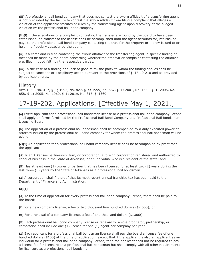**(iii)** A professional bail bond company that does not contest the sworn affidavit of a transferring agent is not precluded by the failure to contest the sworn affidavit from filing a complaint that alleges a violation of the applicable statutes or rules by the transferring agent upon discovery of the alleged violation by the professional bail bond company.

**(H)(i)** If the allegations of a complaint contesting the transfer are found by the board to have been established, no transfer of the license shall be accomplished until the agent accounts for, returns, or pays to the professional bail bond company contesting the transfer the property or money issued to or held in a fiduciary capacity by the agent.

**(ii)** If a complaint is filed contesting the sworn affidavit of the transferring agent, a specific finding of fact shall be made by the board concerning whether the affidavit or complaint contesting the affidavit was filed in good faith by the respective parties.

**(iii)** In the case of a finding of a lack of good faith, the party to whom the finding applies shall be subject to sanctions or disciplinary action pursuant to the provisions of § 17-19-210 and as provided by applicable rules.

#### **History**

Acts 1989, No. 417, § 1; 1995, No. 827, § 4; 1999, No. 567, § 1; 2001, No. 1680, § 1; 2005, No. 858, § 1; 2005, No. 1960, § 1; 2019, No. 315, § 1360.

# 17-19-202. Applications. [Effective May 1, 2021.]

**(a)** Every applicant for a professional bail bondsman license or a professional bail bond company license shall apply on forms furnished by the Professional Bail Bond Company and Professional Bail Bondsman Licensing Board.

**(b)** The application of a professional bail bondsman shall be accompanied by a duly executed power of attorney issued by the professional bail bond company for whom the professional bail bondsman will be acting.

**(c)(1)** An application for a professional bail bond company license shall be accompanied by proof that the applicant:

**(A)** Is an Arkansas partnership, firm, or corporation, a foreign corporation registered and authorized to conduct business in the State of Arkansas, or an individual who is a resident of the state; and

**(B)** Has at least one (1) owner or partner that has been licensed for at least two (2) years during the last three (3) years by the State of Arkansas as a professional bail bondsman.

**(2)** A corporation shall file proof that its most recent annual franchise tax has been paid to the Department of Finance and Administration.

#### **(d)(1)**

**(A)** At the time of application for every professional bail bond company license, there shall be paid to the board:

**(i)** For a new company license, a fee of two thousand five hundred dollars (\$2,500); or

**(ii)** For a renewal of a company license, a fee of one thousand dollars (\$1,000).

**(B)** Each professional bail bond company license or renewal for a sole proprietor, partnership, or corporation shall include one (1) license for one (1) agent per company per year.

**(2)** Each applicant for a professional bail bondsman license shall pay the board a license fee of one hundred dollars (\$100) at the time of application, except that if the applicant is also an applicant as an individual for a professional bail bond company license, then the applicant shall not be required to pay a license fee for licensure as a professional bail bondsman but shall comply with all other requirements for licensure as a professional bail bondsman.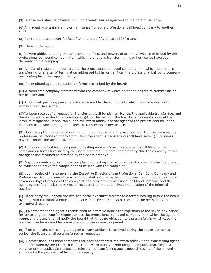**(3)** License fees shall be payable in full on a yearly basis regardless of the date of issuance.

**(4)** Any agent who transfers his or her license from one professional bail bond company to another shall:

**(A)** Pay to the board a transfer fee of two hundred fifty dollars (\$250); and

**(B)** File with the board:

**(i)** A sworn affidavit stating that all premiums, fees, and powers of attorney owed to or issued by the professional bail bond company from which he or she is transferring his or her license have been delivered to the company;

**(ii)** A letter of resignation addressed to the professional bail bond company from which he or she is transferring or a letter of termination addressed to him or her from the professional bail bond company terminating his or her appointment;

**(iii)** A completed agent application on forms prescribed by the board;

**(iv)** A completed company statement from the company to which he or she desires to transfer his or her license; and

**(v)** An original qualifying power of attorney issued by the company to which he or she desires to transfer his or her license.

**(5)(A)** Upon receipt of a request for transfer of a bail bondsman license, the applicable transfer fee, and the documents specified in subdivision (d)(4) of this section, the board shall forward copies of the letter of resignation, if applicable, and the sworn affidavit of the agent to the professional bail bond company from which the agent desires to transfer his or her license.

**(B)** Upon receipt of the letter of resignation, if applicable, and the sworn affidavit of the licensee, the professional bail bond company from which the agent is transferring shall have seven (7) business days to contest the agent's sworn statement.

**(C)** A professional bail bond company contesting an agent's sworn statement shall file a written complaint on forms furnished by the board setting out in detail the property that the company denies the agent has returned as attested by the sworn affidavit.

**(D)** Any documents supporting the complaint contesting the sworn affidavit and which shall be offered as evidence to prove the complaint shall be filed with the complaint.

**(E)** Upon receipt of the complaint, the Executive Director of the Professional Bail Bond Company and Professional Bail Bondsman Licensing Board shall set the matter for informal hearing to be held within seven (7) days of receipt of the complaint and advise the professional bail bond company and the agent by certified mail, return receipt requested, of the date, time, and location of the informal hearing.

**(F)** Either party may appeal the decision of the executive director to a formal hearing before the board by filing with the board a notice of appeal within seven (7) days of receipt of the decision by the executive director.

**(G)(i)** No transfer of an agent's license shall be effective before the expiration of the seven-day period for contesting the transfer request unless the professional bail bond company from which the agent is requesting a transfer shall notify the board that it has no objection to the transfer, in which case the transfer may be entered before expiration of the seven-day period.

**(ii)** If no complaint contesting the agent's sworn affidavit is received during the seven-day contest period, the license shall be transferred as requested.

**(iii)** A professional bail bond company that does not contest the sworn affidavit of a transferring agent is not precluded by the failure to contest the sworn affidavit from filing a complaint that alleges a violation of the applicable statutes or rules by the transferring agent upon discovery of the alleged violation by the professional bail bond company.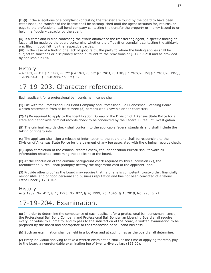**(H)(i)** If the allegations of a complaint contesting the transfer are found by the board to have been established, no transfer of the license shall be accomplished until the agent accounts for, returns, or pays to the professional bail bond company contesting the transfer the property or money issued to or held in a fiduciary capacity by the agent.

**(ii)** If a complaint is filed contesting the sworn affidavit of the transferring agent, a specific finding of fact shall be made by the board concerning whether the affidavit or complaint contesting the affidavit was filed in good faith by the respective parties.

**(iii)** In the case of a finding of a lack of good faith, the party to whom the finding applies shall be subject to sanctions or disciplinary action pursuant to the provisions of § 17-19-210 and as provided by applicable rules.

#### **History**

Acts 1989, No. 417, § 1; 1995, No. 827, § 4; 1999, No. 567, § 1; 2001, No. 1680, § 1; 2005, No. 858, § 1; 2005, No. 1960, § 1; 2019, No. 315, § 1360; 2019, No. 819, § 12.

### 17-19-203. Character references.

Each applicant for a professional bail bondsman license shall:

**(1)** File with the Professional Bail Bond Company and Professional Bail Bondsman Licensing Board written statements from at least three (3) persons who know his or her character;

**(2)(A)** Be required to apply to the Identification Bureau of the Division of Arkansas State Police for a state and nationwide criminal records check to be conducted by the Federal Bureau of Investigation.

**(B)** The criminal records check shall conform to the applicable federal standards and shall include the taking of fingerprints.

**(C)** The applicant shall sign a release of information to the board and shall be responsible to the Division of Arkansas State Police for the payment of any fee associated with the criminal records check.

**(D)** Upon completion of the criminal records check, the Identification Bureau shall forward all information obtained concerning the applicant to the board.

**(E)** At the conclusion of the criminal background check required by this subdivision (2), the Identification Bureau shall promptly destroy the fingerprint card of the applicant; and

**(3)** Provide other proof as the board may require that he or she is competent, trustworthy, financially responsible, and of good personal and business reputation and has not been convicted of a felony listed under § 17-3-102.

#### History

Acts 1989, No. 417, § 1; 1995, No. 827, § 4; 1999, No. 1346, § 1; 2019, No. 990, § 21.

# 17-19-204. Examination.

**(a)** In order to determine the competence of each applicant for a professional bail bondsman license, the Professional Bail Bond Company and Professional Bail Bondsman Licensing Board shall require every individual to submit to, and to pass to the satisfaction of the board, a written examination to be prepared by the board and appropriate to the transaction of bail bond business.

**(b)** Such an examination shall be held in a location and at such times as the board shall determine.

**(c)** Every individual applying to take a written examination shall, at the time of applying therefor, pay to the board a nonrefundable examination fee of twenty-five dollars (\$25.00).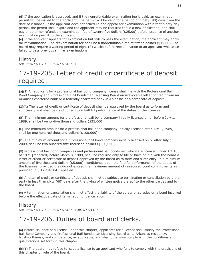**(d)** If the application is approved, and if the nonrefundable examination fee is paid, an examination permit will be issued to the applicant. The permit will be valid for a period of ninety (90) days from the date of issuance. If the applicant does not schedule and appear for examination within that ninety-day period, the permit shall expire and the applicant may be required to file a new application, and shall pay another nonrefundable examination fee of twenty-five dollars (\$25.00) before issuance of another examination permit to the applicant.

**(e)** If the applicant appears for examination but fails to pass the examination, the applicant may apply for reexamination. The reexamination fee shall be a nonrefundable fee of fifteen dollars (\$15.00). The board may require a waiting period of eight (8) weeks before reexamination of an applicant who twice failed to pass previous similar examinations.

#### History

Acts 1989, No. 417, § 1; 1995, No. 827, § 4.

# 17-19-205. Letter of credit or certificate of deposit required.

**(a)(1)** An applicant for a professional bail bond company license shall file with the Professional Bail Bond Company and Professional Bail Bondsman Licensing Board an irrevocable letter of credit from an Arkansas chartered bank or a federally chartered bank in Arkansas or a certificate of deposit.

**(2)(A)** The letter of credit or certificate of deposit shall be approved by the board as to form and sufficiency and shall be conditioned upon faithful performance of the duties of the licensee.

**(B)** The minimum amount for a professional bail bond company initially licensed on or before July 1, 1989, shall be twenty-five thousand dollars (\$25,000).

**(C)** The minimum amount for a professional bail bond company initially licensed after July 1, 1989, shall be one hundred thousand dollars (\$100,000).

**(D)** The minimum amount for a professional bail bond company initially licensed on or after July 1, 2009, shall be two hundred fifty thousand dollars (\$250,000).

**(E)** Professional bail bond companies and professional bail bondsmen who were licensed under Act 400 of 1971 [repealed] before March 8, 1989, shall be required only to file or have on file with the board a letter of credit or certificate of deposit approved by the board as to form and sufficiency, in a minimum amount of five thousand dollars (\$5,000), conditioned upon the faithful performance of the duties of the licensee, provided they do not exceed the maximum amount of unsecured bond commitments as provided in § 17-19-304 [repealed].

**(b)** A letter of credit or certificate of deposit shall not be subject to termination or cancellation by either party in less than sixty (60) days after the giving of written notice thereof to the other parties and to the board.

**(c)** A termination or cancellation shall not affect the liability of the surety or sureties on a bond incurred before the effective date of termination or cancellation.

#### History

Acts 1989, No. 417, § 1; 1995, No. 827, § 4; 2009, No. 147, § 1.

# 17-19-206. Duties of board and clerks.

**(a)** Before issuance of a license under this chapter, applicants for a license shall satisfy the Professional Bail Bond Company and Professional Bail Bondsman Licensing Board as to Arkansas residency, trustworthiness, and competence, as applicable, and shall otherwise comply with the conditions and qualifications set forth in this chapter.

**(b)(1)** The board may refuse to issue a license to an applicant who fails to comply with the provisions of this chapter or rule of the board.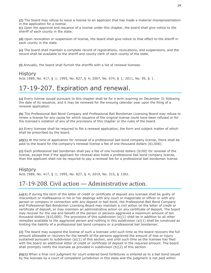**(2)** The board may refuse to issue a license to an applicant that has made a material misrepresentation in the application for a license.

**(c)** Upon the approval and issuance of a license under this chapter, the board shall give notice to the sheriff of each county in the state.

**(d)** Upon revocation or suspension of license, the board shall give notice to that effect to the sheriff in each county in the state.

**(e)** The board shall maintain a complete record of registrations, revocations, and suspensions, and the record shall be available to the sheriff and county clerk of each county of the state.

**(f)** Annually, the board shall furnish the sheriffs with a list of renewal licenses.

#### History

Acts 1989, No. 417, § 1; 1995, No. 827, § 4; 2007, No. 674, § 1; 2011, No. 95, § 1.

### 17-19-207. Expiration and renewal.

**(a)** Every license issued pursuant to this chapter shall be for a term expiring on December 31 following the date of its issuance, and it may be renewed for the ensuing calendar year upon the filing of a renewal application.

**(b)** The Professional Bail Bond Company and Professional Bail Bondsman Licensing Board may refuse to renew a license for any cause for which issuance of the original license could have been refused or for the licensee's violation of any of the provisions of this chapter or the rules of the board.

**(c)** Every licensee shall be required to file a renewal application, the form and subject matter of which shall be prescribed by the board.

**(d)(1)** At the time of application for renewal of a professional bail bond company license, there shall be paid to the board for the company's renewal license a fee of one thousand dollars (\$1,000).

**(2)** Each professional bail bondsman shall pay a fee of one hundred dollars (\$100) for renewal of the license, except that if the applicant for renewal also holds a professional bail bond company license, then the applicant shall not be required to pay a renewal fee for a professional bail bondsman license.

#### History

Acts 1989, No. 417, § 1; 1995, No. 827, § 4; 2019, No. 315, § 1361.

### 17-19-208. Civil action — Administrative action.

**(a)(1)** If during the term of the letter of credit or certificate of deposit any licensee shall be guilty of misconduct or malfeasance in his or her dealings with any court or magistrate or officer or with any person or company in connection with any deposit or bail bond, the Professional Bail Bond Company and Professional Bail Bondsman Licensing Board may maintain a civil action on the letter of credit or certificate of deposit, or may maintain an administrative action on any certificate of deposit. The board may recover for the use and benefit of the person or persons aggrieved a maximum amount of ten thousand dollars (\$10,000). The provisions of this subdivision (a)(1) shall be in addition to all other remedies available to the aggrieved person and nothing in this subdivision  $(a)(1)$  shall be construed as limiting the liability of a professional bail bond company or a professional bail bondsman.

**(2)** The board may suspend the license of such a licensee until such time as the board recovers the full amount allowable or recovers for the benefit of the persons aggrieved the amount of loss or injury sustained pursuant to subdivision (a)(1) of this section, and until such time as the licensee has filed with the board an additional letter of credit or certificate of deposit in the required amount. The board shall promptly notify the licensee as provided in subdivision (b)(2) of this section.

**(b)(1)** When a final civil judgment for court-ordered bond forfeitures is entered as to a bail bond issued by the licensee by a court of competent jurisdiction in this state and the judgment is not paid within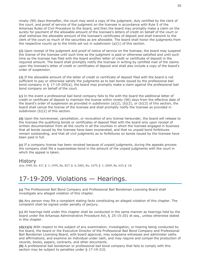ninety (90) days thereafter, the court may send a copy of the judgment, duly certified by the clerk of the court, and proof of service of the judgment on the licensee in accordance with Rule 5 of the Arkansas Rules of Civil Procedure to the board, and then the board may promptly make a claim on the surety for payment of the allowable amount of the licensee's letters of credit on behalf of the court or shall withdraw the allowable amount of the licensee's certificates of deposit and shall transmit to the clerk of the court so much of the securities as are allowable. The board shall honor the judgments from the respective courts up to the limits set out in subdivision  $(a)(1)$  of this section.

**(2)** Upon receipt of the judgment and proof of notice of service on the licensee, the board may suspend the license of the licensee until such time as the judgment is paid or otherwise satisfied and until such time as the licensee has filed with the board another letter of credit or certificate of deposit in the required amount. The board shall promptly notify the licensee in writing by certified mail of the claims upon the licensee's letter of credit or certificates of deposit and shall also include a copy of the board's order of suspension.

**(3)** If the allowable amount of the letter of credit or certificate of deposit filed with the board is not sufficient to pay or otherwise satisfy the judgments as to bail bonds issued by the professional bail bond company in § 17-19-205(a), the board may promptly make a claim against the professional bail bond company on behalf of the court.

**(c)** In the event a professional bail bond company fails to file with the board the additional letter of credit or certificate of deposit to maintain the license within ninety (90) days from the effective date of the board's order of suspension as provided in subdivision  $(a)(2)$ ,  $(b)(2)$ , or  $(b)(3)$  of this section, the board shall cancel the license of the licensee and shall promptly notify the licensee as provided in subdivision (b)(2) of this section.

**(d)** Upon the nonrenewal, cancellation, or revocation of any license hereunder, the board will release to the licensee the qualifying bonds or certificates of deposit filed with the board only upon receipt of written documentation from all the courts in all the counties in which the licensee engaged in business that all bonds issued by the licensee have been exonerated, and that no unpaid bond forfeitures remain outstanding, and that all civil judgments as to forfeitures on bonds issued by the licensee have been paid in full.

**(e)** If a company license has been revoked because of unpaid judgments, during the appeals process the company shall file a supersedeas bond in the amount of the unpaid judgments with the court in which the appeal is taken.

#### History

Acts 1989, No. 417, § 1; 1995, No. 827, § 4; 2001, No. 1679, § 1; 2009, No. 633, § 18.

### 17-19-209. Violations — Hearings.

**(a)** The Professional Bail Bond Company and Professional Bail Bondsman Licensing Board shall investigate any alleged violation of this chapter.

**(b)** Any person may file a complaint stating facts constituting an alleged violation of this chapter. The complaint shall be signed under penalty of perjury.

**(c)** All hearings held under this chapter shall be conducted in the same manner as hearings held by the board under the Arkansas Administrative Procedure Act, § 25-15-201 et seq., unless otherwise stated in this chapter.

**(d)(1)(A)** With respect to the subject of any examination, investigation, or hearing being conducted by the board, the board or the Executive Director of the Professional Bail Bond Company and Professional Bail Bondsman Licensing Board, with board approval, may subpoena witnesses and administer oaths and affirmations, and examine an individual under oath, and may require and compel the production of records, books, papers, contracts, and other documents.

**(B)** A professional bail bondsman or professional bail bond company that fails to comply with this section may be subject to penalties under § 17-19-210.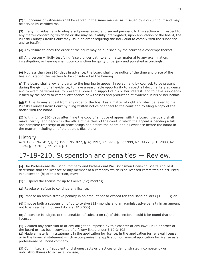**(2)** Subpoenas of witnesses shall be served in the same manner as if issued by a circuit court and may be served by certified mail.

**(3)** If any individual fails to obey a subpoena issued and served pursuant to this section with respect to any matter concerning which he or she may be lawfully interrogated, upon application of the board, the Pulaski County Circuit Court may issue an order requiring the individual to comply with the subpoena and to testify.

**(4)** Any failure to obey the order of the court may be punished by the court as a contempt thereof.

**(5)** Any person willfully testifying falsely under oath to any matter material to any examination, investigation, or hearing shall upon conviction be guilty of perjury and punished accordingly.

**(e)** Not less than ten (10) days in advance, the board shall give notice of the time and place of the hearing, stating the matters to be considered at the hearing.

**(f)** The board shall allow any party to the hearing to appear in person and by counsel, to be present during the giving of all evidence, to have a reasonable opportunity to inspect all documentary evidence and to examine witnesses, to present evidence in support of his or her interest, and to have subpoenas issued by the board to compel attendance of witnesses and production of evidence in his or her behalf.

**(g)(1)** A party may appeal from any order of the board as a matter of right and shall be taken to the Pulaski County Circuit Court by filing written notice of appeal to the court and by filing a copy of the notice with the board.

**(2)** Within thirty (30) days after filing the copy of a notice of appeal with the board, the board shall make, certify, and deposit in the office of the clerk of the court in which the appeal is pending a full and complete transcript of all proceedings had before the board and all evidence before the board in the matter, including all of the board's files therein.

#### History

Acts 1989, No. 417, § 1; 1995, No. 827, § 4; 1997, No. 973, § 6; 1999, No. 1477, § 1; 2003, No. 1174, § 1; 2011, No. 218, § 1.

### 17-19-210. Suspension and penalties — Review.

**(a)** The Professional Bail Bond Company and Professional Bail Bondsman Licensing Board, should it determine that the licensee or any member of a company which is so licensed committed an act listed in subsection (b) of this section, may:

**(1)** Suspend the license for up to twelve (12) months;

**(2)** Revoke or refuse to continue any license;

**(3)** Impose an administrative penalty in an amount not to exceed ten thousand dollars (\$10,000); or

**(4)** Impose both a suspension of up to twelve (12) months and an administrative penalty in an amount not to exceed ten thousand dollars (\$10,000).

**(b)** A licensee is subject to the penalties of subsection (a) of this section should it be found that the licensee:

**(1)** Violated any provision of or any obligation imposed by this chapter or any lawful rule or order of the board or has been convicted of a felony listed under § 17-3-102;

**(2)** Made a material misstatement in the application for license, in the application for renewal license, or in the financial statement which accompanies the application or renewal application for license as a professional bail bond company;

**(3)** Committed any fraudulent or dishonest acts or practices or demonstrated incompetency or untrustworthiness to act as a licensee;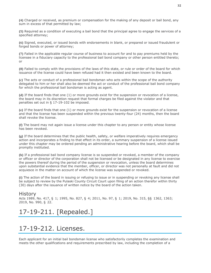**(4)** Charged or received, as premium or compensation for the making of any deposit or bail bond, any sum in excess of that permitted by law;

**(5)** Required as a condition of executing a bail bond that the principal agree to engage the services of a specified attorney;

**(6)** Signed, executed, or issued bonds with endorsements in blank, or prepared or issued fraudulent or forged bonds or power of attorney;

**(7)** Failed in the applicable regular course of business to account for and to pay premiums held by the licensee in a fiduciary capacity to the professional bail bond company or other person entitled thereto; or

**(8)** Failed to comply with the provisions of the laws of this state, or rule or order of the board for which issuance of the license could have been refused had it then existed and been known to the board.

**(c)** The acts or conduct of a professional bail bondsman who acts within the scope of the authority delegated to him or her shall also be deemed the act or conduct of the professional bail bond company for which the professional bail bondsman is acting as agent.

**(d)** If the board finds that one (1) or more grounds exist for the suspension or revocation of a license, the board may in its discretion request that formal charges be filed against the violator and that penalties set out in § 17-19-102 be imposed.

**(e)** If the board finds that one (1) or more grounds exist for the suspension or revocation of a license and that the license has been suspended within the previous twenty-four (24) months, then the board shall revoke the license.

**(f)** The board may not again issue a license under this chapter to any person or entity whose license has been revoked.

**(g)** If the board determines that the public health, safety, or welfare imperatively requires emergency action and incorporates a finding to that effect in its order, a summary suspension of a license issued under this chapter may be ordered pending an administrative hearing before the board, which shall be promptly instituted.

**(h)** If a professional bail bond company license is so suspended or revoked, a member of the company or officer or director of the corporation shall not be licensed or be designated in any license to exercise the powers thereof during the period of the suspension or revocation, unless the board determines upon substantial evidence that the member, officer, or director was not personally at fault and did not acquiesce in the matter on account of which the license was suspended or revoked.

**(i)** The action of the board in issuing or refusing to issue or in suspending or revoking any license shall be subject to review by the Pulaski County Circuit Court upon filing of an action therefor within thirty (30) days after the issuance of written notice by the board of the action taken.

#### History

Acts 1989, No. 417, § 1; 1995, No. 827, § 4; 2011, No. 97, § 1; 2019, No. 315, §§ 1362, 1363; 2019, No. 990, § 22.

# 17-19-211. [Repealed.]

### 17-19-212. Licenses.

Each applicant for an initial bail bondsman license who satisfactorily completes the examination and meets the other qualifications and requirements prescribed by law, including the completion of a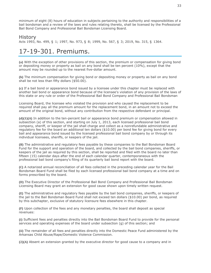minimum of eight (8) hours of education in subjects pertaining to the authority and responsibilities of a bail bondsman and a review of the laws and rules relating thereto, shall be licensed by the Professional Bail Bond Company and Professional Bail Bondsman Licensing Board.

#### History

Acts 1993, No. 499, § 1; 1997, No. 973, § 8; 1999, No. 567, § 3; 2019, No. 315, § 1364.

### 17-19-301. Premiums.

**(a)** With the exception of other provisions of this section, the premium or compensation for giving bond or depositing money or property as bail on any bond shall be ten percent (10%), except that the amount may be rounded up to the nearest five-dollar amount.

**(b)** The minimum compensation for giving bond or depositing money or property as bail on any bond shall be not less than fifty dollars (\$50.00).

**(c)** If a bail bond or appearance bond issued by a licensee under this chapter must be replaced with another bail bond or appearance bond because of the licensee's violation of any provision of the laws of this state or any rule or order of the Professional Bail Bond Company and Professional Bail Bondsman

Licensing Board, the licensee who violated the provision and who caused the replacement to be required shall pay all the premium amount for the replacement bond, in an amount not to exceed the amount of the original bond, without any contribution from the respective defendant or principal.

**(d)(1)(A)** In addition to the ten-percent bail or appearance bond premium or compensation allowed in subsection (a) of this section, and starting on July 1, 2013, each licensed professional bail bond company, sheriff, or keeper of the jail shall charge and collect as a nonrefundable administrative and regulatory fee for the board an additional ten dollars (\$10.00) per bond fee for giving bond for every bail and appearance bond issued by the licensed professional bail bond company by or through its individual licensees, sheriffs, or keepers of the jail.

**(B)** The administrative and regulatory fees payable by these companies to the Bail Bondsman Board Fund for the support and operation of the board, and collected by the bail bond companies, sheriffs, or keepers of the jail as required by this section, shall be reported and filed with the board no later than fifteen (15) calendar days after the end of each calendar quarter, contemporaneous with the professional bail bond company's filing of its quarterly bail bond report with the board.

**(C)** A notarized annual reconciliation of all fees collected in the preceding calendar year for the Bail Bondsman Board Fund shall be filed by each licensed professional bail bond company at a time and on forms prescribed by the board.

**(D)** The Executive Director of the Professional Bail Bond Company and Professional Bail Bondsman Licensing Board may grant an extension for good cause shown upon timely written request.

**(E)** The administrative and regulatory fees payable by the bail bond companies, sheriffs, or keepers of the jail to the Bail Bondsman Board Fund shall not exceed ten dollars (\$10.00) per bond, as required by this subchapter, exclusive of statutory licensure fees elsewhere in this chapter.

**(F)** Upon collection of the fees and any monetary penalties, the board shall deposit as special revenues:

**(i)** Sufficient fees and penalties directly into the Bail Bondsman Board Fund to provide for the personal services and operating expenses of the board under subsection (g) of this section; and

**(ii)** The remainder of all fees and penalties directly into the Domestic Peace Fund administered by the Arkansas Child Abuse/Rape/Domestic Violence Commission.

**(2)(A)** Absent an extension granted by the executive director for good cause to a company and in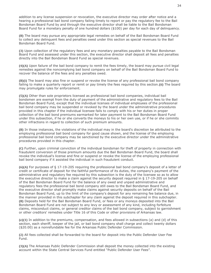addition to any license suspension or revocation, the executive director may order after notice and a hearing a professional bail bond company failing timely to report or pay the regulatory fee to the Bail Bondsman Board Fund by and through the executive director shall be liable to the Bail Bondsman Board Fund for a monetary penalty of one hundred dollars (\$100) per day for each day of delinquency.

**(B)** The board may pursue any appropriate legal remedies on behalf of the Bail Bondsman Board Fund to collect any delinquent fees and penalties owed under this section as special revenues to the Bail Bondsman Board Fund.

**(3)** Upon collection of the regulatory fees and any monetary penalties payable to the Bail Bondsman Board Fund and assessed under this section, the executive director shall deposit all fees and penalties directly into the Bail Bondsman Board Fund as special revenues.

**(4)(A)** Upon failure of the bail bond company to remit the fees timely, the board may pursue civil legal remedies against the noncomplying bail bond company on behalf of the Bail Bondsman Board Fund to recover the balance of the fees and any penalties owed.

**(B)(i)** The board may also fine or suspend or revoke the license of any professional bail bond company failing to make a quarterly report or remit or pay timely the fees required by this section.**(ii)** The board may promulgate rules for enforcement.

**(5)(A)** Other than sole proprietors licensed as professional bail bond companies, individual bail bondsmen are exempt from the duty of payment of the administrative and regulatory fees to the Bail Bondsman Board Fund, except that the individual licenses of individual employees of the professional bail bond company may be suspended or revoked by the board under the administrative procedures provided in this chapter if the individual licensee fails to comply with his or her duties in proper collection of the bail bond premiums earmarked for later payment to the Bail Bondsman Board Fund under this subsection, if he or she converts the moneys to his or her own use, or if he or she commits other infractions in regard to collection of such premium amounts.

**(B)** In those instances, the violations of the individual may in the board's discretion be attributed to the employing professional bail bond company for good cause shown, and the license of the employing professional bail bond company may be sanctioned by the executive director under the administrative procedures provided in this chapter.

**(C)** Further, upon criminal conviction of the individual bondsman for theft of property in connection with fraudulent conversion of those premium amounts due the Bail Bondsman Board Fund, the board shall revoke the individual's license and fine or suspend or revoke the license of the employing professional bail bond company if it assisted the individual in such fraudulent conduct.

**(6)(A)** For purposes of § 17-19-205 requiring the professional bail bond company's deposit of a letter of credit or certificate of deposit for the faithful performance of its duties, the company's payment of the administrative and regulatory fee required by this subsection is the duty of the licensee so as to allow the executive director to make a claim against the security deposit required in § 17-19-205 on behalf of the Bail Bondsman Board Fund for the balance of any owed and unpaid administrative and regulatory fees the professional bail bond company still owes to the Bail Bondsman Board Fund, and the executive director shall promptly make claims against security deposits on behalf of the Bail Bondsman Board Fund, up to the limit of the company's deposit for any remaining fee balance due, in the manner provided in this subchapter for any claim against the deposit required in this subchapter. **(B)** Deposits held for the Bail Bondsman Board Fund, or fees or any moneys deposited into the Bail Bondsman Board Fund are not subject to any levy or assessment of any kind, including forfeiture claims, misconduct claims, or general creditor claims of the bail bond company, subject to garnishment or other creditors' remedies under Title 16 of this Code or other provisions of Arkansas law.

**(e)(1)** In addition to the premiums, compensation, and fees allowed in subsections (a) and (d) of this section, each sheriff, keeper of the jail, or bail bond company shall charge and collect twenty dollars (\$20.00) as a nonrefundable fee for the Arkansas Public Defender Commission.

**(2)** All fees collected shall be forwarded to the board for deposit into the Public Defender User Fee Fund.

**(3)(A)** The Arkansas Public Defender Commission shall deposit the money collected into the existing account within the State Central Services Fund entitled "Public Defender User Fees".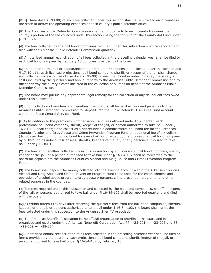**(B)(i)** Three dollars (\$3.00) of each fee collected under this section shall be remitted to each county in the state to defray the operating expenses of each county's public defender office.

**(ii)** The Arkansas Public Defender Commission shall remit quarterly to each county treasurer the county's portion of the fee collected under this section using the formula for the County Aid Fund under § 19-5-602.

**(4)** The fees collected by the bail bond companies required under this subsection shall be reported and filed with the Arkansas Public Defender Commission quarterly.

**(5)** A notarized annual reconciliation of all fees collected in the preceding calendar year shall be filed by each bail bond company by February 15 on forms provided by the board.

**(6)** In addition to the bail or appearance bond premium or compensation allowed under this section and § 17-19-111, each licensed professional bail bond company, sheriff, or keeper of the jail shall charge and collect a processing fee of five dollars (\$5.00) on each bail bond in order to defray the surety's costs incurred by the quarterly and annual reports to the Arkansas Public Defender Commission and to further defray the surety's costs incurred in the collection of all fees on behalf of the Arkansas Public Defender Commission.

**(7)** The board may pursue any appropriate legal remedy for the collection of any delinquent fees owed under this subsection.

**(8)** Upon collection of any fees and penalties, the board shall forward all fees and penalties to the Arkansas Public Defender Commission for deposit into the Public Defender User Fees Fund account within the State Central Services Fund.

**(f)(1)** In addition to the premiums, compensation, and fees allowed under this chapter, each professional bail bond company, sheriff, keeper of the jail, or person authorized to take bail under § 16-84-102 shall charge and collect as a nonrefundable administrative bail bond fee for the Arkansas Counties Alcohol and Drug Abuse and Crime Prevention Program Fund an additional fee of six dollars (\$6.00) per bail bond for giving bond for every bail bond issued by the professional bail bond company by or through its individual licensees, sheriffs, keepers of the jail, or any persons authorized to take bail under § 16-84-102.

**(2)** The fees and penalties collected under this subsection by a professional bail bond company, sheriff, keeper of the jail, or a person authorized to take bail under § 16-84-102 shall be forwarded to the board for deposit into the Arkansas Counties Alcohol and Drug Abuse and Crime Prevention Program Fund.

**(3)** The board shall deposit the money collected into the existing account within the Arkansas Counties Alcohol and Drug Abuse and Crime Prevention Program Fund to be used for the establishment and operation of alcohol abuse programs, drug abuse programs, crime prevention programs, and other related purposes in the counties.

**(4)** The fees required under this subsection and collected by the bail bond companies, sheriffs, keepers of the jail, or persons authorized to take bail under § 16-84-102 shall be reported quarterly and filed with the board.

**(5)(A)** Within fifteen (15) days after receiving the quarterly fees from the bail bond companies, sheriffs, keepers of the jail, or persons authorized to take bail under § 16-84-102, the board shall remit the fees collected under this subsection to the Arkansas Sheriffs' Association.

**(B)** The Arkansas Sheriffs' Association is the official organization of sheriffs in this state and is organized and exists under the Arkansas Nonprofit Corporation Act, §§ 4-28-201 — 4-28-206 and §§  $4 - 28 - 209 - 4 - 28 - 224$ .

**(6)** A notarized annual reconciliation of all fees collected in the preceding calendar year shall be filed on forms provided by the board by each professional bail bond company, sheriff, keeper of the jail, or person authorized to take bail under § 16-84-102 by February 15.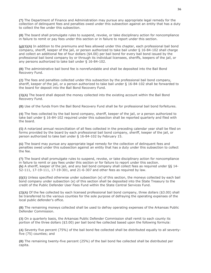**(7)** The Department of Finance and Administration may pursue any appropriate legal remedy for the collection of delinquent fees and penalties owed under this subsection against an entity that has a duty to collect the fee under this subsection.

**(8)** The board shall promulgate rules to suspend, revoke, or take disciplinary action for noncompliance in failure to remit or pay fees under this section or in failure to report under this section.

**(g)(1)(A)** In addition to the premiums and fees allowed under this chapter, each professional bail bond company, sheriff, keeper of the jail, or person authorized to take bail under § 16-84-102 shall charge and collect an additional fee of four dollars (\$4.00) per bail bond for every bail bond issued by the professional bail bond company by or through its individual licensees, sheriffs, keepers of the jail, or any persons authorized to take bail under § 16-84-102.

**(B)** The administrative bail bond fee is nonrefundable and shall be deposited into the Bail Bond Recovery Fund.

**(2)** The fees and penalties collected under this subsection by the professional bail bond company, sheriff, keeper of the jail, or a person authorized to take bail under § 16-84-102 shall be forwarded to the board for deposit into the Bail Bond Recovery Fund.

**(3)(A)** The board shall deposit the money collected into the existing account within the Bail Bond Recovery Fund.

**(B)** Use of the funds from the Bail Bond Recovery Fund shall be for professional bail bond forfeitures.

**(4)** The fees collected by the bail bond company, sheriff, keeper of the jail, or a person authorized to take bail under § 16-84-102 required under this subsection shall be reported quarterly and filed with the board.

**(5)** A notarized annual reconciliation of all fees collected in the preceding calendar year shall be filed on forms provided by the board by each professional bail bond company, sheriff, keeper of the jail, or person authorized to take bail under § 16-84-102 by February 15.

**(6)** The board may pursue any appropriate legal remedy for the collection of delinquent fees and penalties owed under this subsection against an entity that has a duty under this subsection to collect the fee.

**(7)** The board shall promulgate rules to suspend, revoke, or take disciplinary action for noncompliance in failure to remit or pay fees under this section or for failure to report under this section. **(h)** A sheriff, keeper of the jail, and any bail bond company shall collect fees as required under §§ 14- 52-111, 17-19-111, 17-19-301, and 21-6-307 and other fees as required by law.

**(i)(1)** Unless specified otherwise under subsection (e) of this section, the moneys collected by each bail bond company under subsection (e) of this section shall be deposited into the State Treasury to the credit of the Public Defender User Fees Fund within the State Central Services Fund.

**(2)(A)** Of the fee collected by each licensed professional bail bond company, three dollars (\$3.00) shall be transferred to the various counties for the sole purpose of defraying the operating expenses of the local public defender's office.

**(B)** The remaining moneys collected shall be used to defray operating expenses of the Arkansas Public Defender Commission.

**(3)** On a quarterly basis, the Arkansas Public Defender Commission shall remit to each county its portion of the three dollars (\$3.00) per bail bond fee collected based upon the following formula:

**(A)** Seventy five percent (75%) of the bail bond fee collected shall be distributed equally to all seventyfive (75) counties; and

**(B)** The remaining twenty-five percent (25%) of the bail bond fee collected shall be distributed per capita.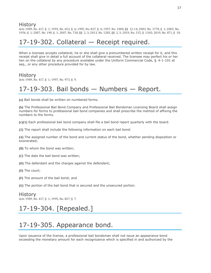### **History**

Acts 1989, No. 417, § 1; 1993, No. 652, § 6; 1995, No. 827, § 6; 1997, No. 1000, §§ 12-14; 2003, No. 1778, § 1; 2005, No. 1956, § 1; 2007, No. 190, § 1; 2007, No. 730, §§ 2, 3; 2013, No. 1283, §§ 2, 3; 2019, No. 315, § 1365; 2019, No. 871, § 18.

# 17-19-302. Collateral — Receipt required.

When a licensee accepts collateral, he or she shall give a prenumbered written receipt for it, and this receipt shall give in detail a full account of the collateral received. The licensee may perfect his or her lien on the collateral by any procedure available under the Uniform Commercial Code, § 4-1-101 et seq., or any other procedure provided for by law.

#### History

Acts 1989, No. 417, § 1; 1997, No. 973, § 9.

### 17-19-303. Bail bonds — Numbers — Report.

**(a)** Bail bonds shall be written on numbered forms.

**(b)** The Professional Bail Bond Company and Professional Bail Bondsman Licensing Board shall assign numbers for forms to professional bail bond companies and shall prescribe the method of affixing the numbers to the forms.

**(c)(1)** Each professional bail bond company shall file a bail bond report quarterly with the board.

**(2)** The report shall include the following information on each bail bond:

**(A)** The assigned number of the bond and current status of the bond, whether pending disposition or exonerated;

- **(B)** To whom the bond was written;
- **(C)** The date the bail bond was written;
- **(D)** The defendant and the charges against the defendant;
- **(E)** The court;
- **(F)** The amount of the bail bond; and
- **(G)** The portion of the bail bond that is secured and the unsecured portion.

#### History

Acts 1989, No. 417, § 1; 1995, No. 827, § 7.

# 17-19-304. [Repealed.]

# 17-19-305. Appearance bond.

Upon issuance of the license, a professional bail bondsman shall not issue an appearance bond exceeding the monetary amount for each recognizance which is specified in and authorized by the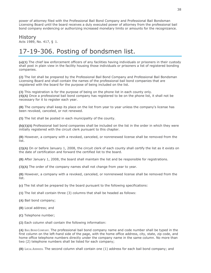power of attorney filed with the Professional Bail Bond Company and Professional Bail Bondsman Licensing Board until the board receives a duly executed power of attorney from the professional bail bond company evidencing or authorizing increased monetary limits or amounts for the recognizance.

#### History

Acts 1989, No. 417, § 1.

# 17-19-306. Posting of bondsmen list.

**(a)(1)** The chief law enforcement officers of any facilities having individuals or prisoners in their custody shall post in plain view in the facility housing those individuals or prisoners a list of registered bonding companies.

**(2)** The list shall be prepared by the Professional Bail Bond Company and Professional Bail Bondsman Licensing Board and shall contain the names of the professional bail bond companies that are registered with the board for the purpose of being included on the list.

**(3)** This registration is for the purpose of being on the phone list in each county only. **(4)(A)** Once a professional bail bond company has registered to be on the phone list, it shall not be necessary for it to register each year.

**(B)** The company shall keep its place on the list from year to year unless the company's license has been revoked, canceled, or not renewed.

**(5)** The list shall be posted in each municipality of the county.

**(b)(1)(A)** Professional bail bond companies shall be included on the list in the order in which they were initially registered with the circuit clerk pursuant to this chapter.

**(B)** However, a company with a revoked, canceled, or nonrenewed license shall be removed from the list.

**(2)(A)** On or before January 1, 2008, the circuit clerk of each county shall certify the list as it exists on the date of certification and forward the certified list to the board.

**(B)** After January 1, 2008, the board shall maintain the list and be responsible for registrations.

**(3)(A)** The order of the company names shall not change from year to year.

**(B)** However, a company with a revoked, canceled, or nonrenewed license shall be removed from the list.

**(c)** The list shall be prepared by the board pursuant to the following specifications:

**(1)** The list shall contain three (3) columns that shall be headed as follows:

**(A)** Bail bond company;

**(B)** Local address; and

**(C)** Telephone number;

**(2)** Each column shall contain the following information:

**(A)** BAIL BOND COMPANY. The professional bail bond company name and code number shall be typed in the first column on the left-hand side of the page, with the home office address, city, state, zip code, and home office telephone numbers directly under the company name in the same column. No more than two (2) telephone numbers shall be listed for each company;

**(B)** LOCAL ADDRESS. The second column shall contain one (1) address for each bail bond company; and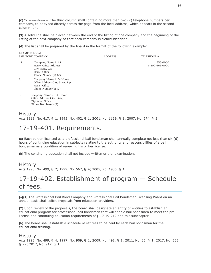**(C)** TELEPHONENUMBER. The third column shall contain no more than two (2) telephone numbers per company, to be typed directly across the page from the local address, which appears in the second column; and

**(3)** A solid line shall be placed between the end of the listing of one company and the beginning of the listing of the next company so that each company is clearly identified.

**(d)** The list shall be prepared by the board in the format of the following example:

EXAMPLE LOCAL BAIL BOND COMPANY COMPANY ADDRESS AND ALL BOND COMPANY

- 1. Company Name # AZ 555-0000<br>
Home Office Address 1-800-666-0000 Home Office Address City, State, Zip Home Office Phone Number(s) (2)
- 2. Company Name # ZA Home Office Address City, State, Zip Home Office Phone Number(s) (2)
- 3. Company Name # DX Home Office Address City, State, ZipHome Office Phone Number(s) (2)

### **History**

Acts 1989, No. 417, § 1; 1993, No. 402, § 1; 2001, No. 1139, § 1; 2007, No. 674, § 2.

# 17-19-401. Requirements.

**(a)** Each person licensed as a professional bail bondsman shall annually complete not less than six (6) hours of continuing education in subjects relating to the authority and responsibilities of a bail bondsman as a condition of renewing his or her license.

**(b)** The continuing education shall not include written or oral examinations.

### **History**

Acts 1993, No. 499, § 2; 1999, No. 567, § 4; 2005, No. 1935, § 1.

# 17-19-402. Establishment of program — Schedule of fees.

**(a)(1)** The Professional Bail Bond Company and Professional Bail Bondsman Licensing Board on an annual basis shall solicit proposals from education providers.

**(2)** Upon review of the proposals, the board shall designate an entity or entities to establish an educational program for professional bail bondsmen that will enable bail bondsmen to meet the prelicense and continuing education requirements of § 17-19-212 and this subchapter.

**(b)** The board shall establish a schedule of set fees to be paid by each bail bondsman for the educational training.

### History

Acts 1993, No. 499, § 4; 1997, No. 909, § 1; 2009, No. 491, § 1; 2011, No. 36, § 1; 2017, No. 565, § 22; 2017, No. 917, § 1.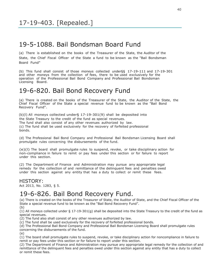### 19-5-1088. Bail Bondsman Board Fund

(a) There is established on the books of the Treasurer of the State, the Auditor of the State, the Chief Fiscal Officer of the State a fund to be known as the "Bail Bondsman Board Fund"

(b) This fund shall consist of those moneys collected under§§ 17-19-111 and 17-19-301 and other moneys from the collection of fees, there to be used exclusively for the operation of the Professional Bail Bond Company and Professional Bail Bondsman Licensing Board.

### 19-6-820. Bail Bond Recovery Fund

(a) There is created on the books of the Treasurer of the State, the Auditor of the State, the Chief Fiscal Officer of the State a special revenue fund to be known as the "Bail Bond Recovery Fund".

(b)(l) All moneys collected under§ 17-19-301(9) shall be deposited into the State Treasury to the credit of the fund as special revenues. The fund shall also consist of any other revenues authorized by law. (c) The fund shall be used exclusively for the recovery of forfeited professional bonds.

(d) The Professional Bail Bond Company and Professional Bail Bondsman Licensing Board shall promulgate rules concerning the disbursements of the fund.

(e)(l) The board shall promulgate rules to suspend, revoke, or take disciplinary action for non-compliance in failure to remit or pay fees under this section or for failure to report under this section.

(2) The Department of Finance and Administration may pursue any appropriate legal remedy for the collection of and remittance of the delinquent fees and penalties owed under this section against any entity that has a duty to collect or remit these fees.

#### HISTORY:

Act 2013, No. 1283, § 5.

### 19-6-826. Bail Bond Recovery Fund.

(a) There is created on the books of the Treasurer of State, the Auditor of State, and the Chief Fiscal Officer of the State a special revenue fund to be known as the "Bail Bond Recovery Fund". (b)

(1) All moneys collected under  $\S 17$ -19-301(q) shall be deposited into the State Treasury to the credit of the fund as special revenues.

(2) The fund also shall consist of any other revenues authorized by law.

(c) The fund shall be used exclusively for the recovery of forfeited professional bonds.

(d) The Professional Bail Bond Company and Professional Bail Bondsman Licensing Board shall promulgate rules concerning the disbursements of the fund.

(e)

(1) The board shall promulgate rules to suspend, revoke, or take disciplinary action for noncompliance in failure to remit or pay fees under this section or for failure to report under this section.

(2) The Department of Finance and Administration may pursue any appropriate legal remedy for the collection of and remittance of the delinquent fees and penalties owed under this section against any entity that has a duty to collect or remit these fees.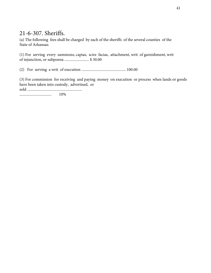### 21-6-307. Sheriffs.

(a) The following fees shall be charged by each of the sheriffs of the several counties of the State of Arkansas:

(1) For serving every summons, capias, scire facias, attachment, writ of garnishment, writ of injunction, or subpoena .......................... \$ 30.00

(2) For serving a writ of execution ............................................... 100.00

(3) For commission for receiving and paying money on execution or process when lands or goods have been taken into custody, advertised, or

sold ..........................................................

.................................. 10%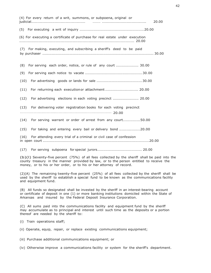| (4) For every return of a writ, summons, or subpoena, original or<br>20.00        |
|-----------------------------------------------------------------------------------|
|                                                                                   |
| (6) For executing a certificate of purchase for real estate under execution       |
| For making, executing, and subscribing a sheriff's deed to be paid<br>(7)         |
| (8)<br>For serving each order, notice, or rule of any court  30.00                |
| (9)                                                                               |
| (10)                                                                              |
| For returning each execution or attachment 20.00<br>(11)                          |
| For advertising elections in each voting precinct  20.00<br>(12)                  |
| (13) For delivering voter registration books for each voting precinct<br>$\cdots$ |
| (14) For serving warrant or order of arrest from any court50.00                   |
| (15) For taking and entering every bail or delivery bond 20.00                    |
| For attending every trial of a criminal or civil case of confession<br>(16)       |

(17) For serving subpoena for special jurors...................................... 20.00

(b)(l) Seventy-five percent (75%) of all fees collected by the sheriff shall be paid into the county treasury in the manner provided by law, or to the person entitled to receive the money, or to his or her order, or to his or her attorney of record.

(2)(A) The remaining twenty-five percent (25%) of all fees collected by the sheriff shall be used by the sheriff to establish a special fund to be known as the communications facility and equipment fund.

(B) All funds so designated shall be invested by the sheriff in an interest-bearing account or certificate of deposit in one (1) or more banking institutions domiciled within the State of Arkansas and insured by the Federal Deposit Insurance Corporation.

(C) All sums paid into the communications facility and equipment fund by the sheriff may accumulate as to principal and interest until such time as the deposits or a portion thereof are needed by the sheriff to:

- (i) Train operations staff;
- (ii) Operate, equip, repair, or replace existing communications equipment;

(iii) Purchase additional communications equipment; or

(iv) Otherwise improve a communications facility or system for the sheriff's department.